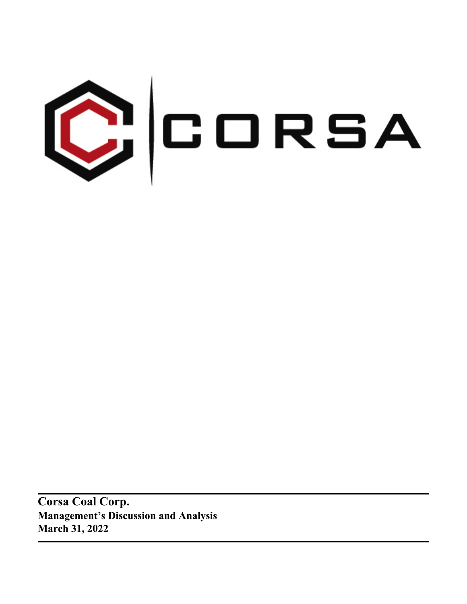

**Corsa Coal Corp. Management's Discussion and Analysis March 31, 2022**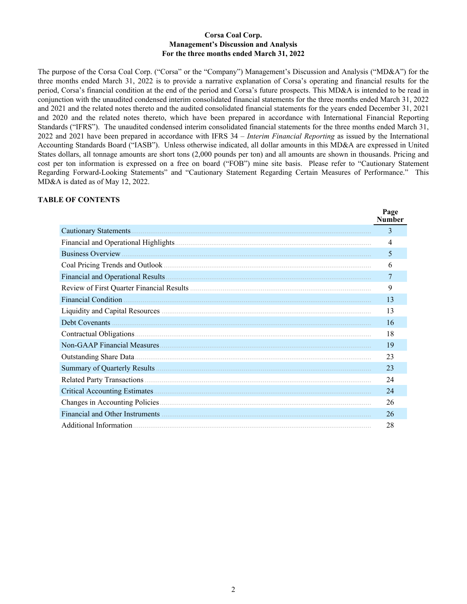#### **Corsa Coal Corp. Management's Discussion and Analysis For the three months ended March 31, 2022**

The purpose of the Corsa Coal Corp. ("Corsa" or the "Company") Management's Discussion and Analysis ("MD&A") for the three months ended March 31, 2022 is to provide a narrative explanation of Corsa's operating and financial results for the period, Corsa's financial condition at the end of the period and Corsa's future prospects. This MD&A is intended to be read in conjunction with the unaudited condensed interim consolidated financial statements for the three months ended March 31, 2022 and 2021 and the related notes thereto and the audited consolidated financial statements for the years ended December 31, 2021 and 2020 and the related notes thereto, which have been prepared in accordance with International Financial Reporting Standards ("IFRS"). The unaudited condensed interim consolidated financial statements for the three months ended March 31, 2022 and 2021 have been prepared in accordance with IFRS 34 – *Interim Financial Reporting* as issued by the International Accounting Standards Board ("IASB"). Unless otherwise indicated, all dollar amounts in this MD&A are expressed in United States dollars, all tonnage amounts are short tons (2,000 pounds per ton) and all amounts are shown in thousands. Pricing and cost per ton information is expressed on a free on board ("FOB") mine site basis. Please refer to "Cautionary Statement Regarding Forward-Looking Statements" and "Cautionary Statement Regarding Certain Measures of Performance." This MD&A is dated as of May 12, 2022.

 $\mathbf{p}_{\alpha\alpha\alpha}$ 

#### **TABLE OF CONTENTS**

|                                 | rage<br>Number |
|---------------------------------|----------------|
| Cautionary Statements           | 3              |
|                                 | 4              |
|                                 | 5              |
|                                 | 6              |
|                                 | 7              |
|                                 | 9              |
| <b>Financial Condition</b>      | 13             |
|                                 | 13             |
| Debt Covenants                  | 16             |
|                                 | 18             |
|                                 | 19             |
|                                 | 23             |
|                                 | 23             |
|                                 | 24             |
|                                 | 24             |
|                                 | 26             |
| Financial and Other Instruments | 26             |
| Additional Information          | 28             |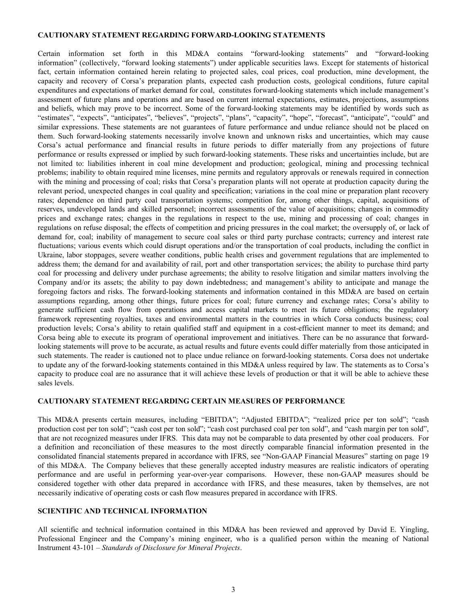#### <span id="page-2-0"></span>**CAUTIONARY STATEMENT REGARDING FORWARD-LOOKING STATEMENTS**

Certain information set forth in this MD&A contains "forward-looking statements" and "forward-looking information" (collectively, "forward looking statements") under applicable securities laws. Except for statements of historical fact, certain information contained herein relating to projected sales, coal prices, coal production, mine development, the capacity and recovery of Corsa's preparation plants, expected cash production costs, geological conditions, future capital expenditures and expectations of market demand for coal, constitutes forward-looking statements which include management's assessment of future plans and operations and are based on current internal expectations, estimates, projections, assumptions and beliefs, which may prove to be incorrect. Some of the forward-looking statements may be identified by words such as "estimates", "expects", "anticipates", "believes", "projects", "plans", "capacity", "hope", "forecast", "anticipate", "could" and similar expressions. These statements are not guarantees of future performance and undue reliance should not be placed on them. Such forward-looking statements necessarily involve known and unknown risks and uncertainties, which may cause Corsa's actual performance and financial results in future periods to differ materially from any projections of future performance or results expressed or implied by such forward-looking statements. These risks and uncertainties include, but are not limited to: liabilities inherent in coal mine development and production; geological, mining and processing technical problems; inability to obtain required mine licenses, mine permits and regulatory approvals or renewals required in connection with the mining and processing of coal; risks that Corsa's preparation plants will not operate at production capacity during the relevant period, unexpected changes in coal quality and specification; variations in the coal mine or preparation plant recovery rates; dependence on third party coal transportation systems; competition for, among other things, capital, acquisitions of reserves, undeveloped lands and skilled personnel; incorrect assessments of the value of acquisitions; changes in commodity prices and exchange rates; changes in the regulations in respect to the use, mining and processing of coal; changes in regulations on refuse disposal; the effects of competition and pricing pressures in the coal market; the oversupply of, or lack of demand for, coal; inability of management to secure coal sales or third party purchase contracts; currency and interest rate fluctuations; various events which could disrupt operations and/or the transportation of coal products, including the conflict in Ukraine, labor stoppages, severe weather conditions, public health crises and government regulations that are implemented to address them; the demand for and availability of rail, port and other transportation services; the ability to purchase third party coal for processing and delivery under purchase agreements; the ability to resolve litigation and similar matters involving the Company and/or its assets; the ability to pay down indebtedness; and management's ability to anticipate and manage the foregoing factors and risks. The forward-looking statements and information contained in this MD&A are based on certain assumptions regarding, among other things, future prices for coal; future currency and exchange rates; Corsa's ability to generate sufficient cash flow from operations and access capital markets to meet its future obligations; the regulatory framework representing royalties, taxes and environmental matters in the countries in which Corsa conducts business; coal production levels; Corsa's ability to retain qualified staff and equipment in a cost-efficient manner to meet its demand; and Corsa being able to execute its program of operational improvement and initiatives. There can be no assurance that forwardlooking statements will prove to be accurate, as actual results and future events could differ materially from those anticipated in such statements. The reader is cautioned not to place undue reliance on forward-looking statements. Corsa does not undertake to update any of the forward-looking statements contained in this MD&A unless required by law. The statements as to Corsa's capacity to produce coal are no assurance that it will achieve these levels of production or that it will be able to achieve these sales levels.

#### **CAUTIONARY STATEMENT REGARDING CERTAIN MEASURES OF PERFORMANCE**

This MD&A presents certain measures, including "EBITDA"; "Adjusted EBITDA"; "realized price per ton sold"; "cash production cost per ton sold"; "cash cost per ton sold"; "cash cost purchased coal per ton sold", and "cash margin per ton sold", that are not recognized measures under IFRS. This data may not be comparable to data presented by other coal producers. For a definition and reconciliation of these measures to the most directly comparable financial information presented in the consolidated financial statements prepared in accordance with IFRS, see "Non-GAAP Financial Measures" starting on page [19](#page-18-0) of this MD&A. The Company believes that these generally accepted industry measures are realistic indicators of operating performance and are useful in performing year-over-year comparisons. However, these non-GAAP measures should be considered together with other data prepared in accordance with IFRS, and these measures, taken by themselves, are not necessarily indicative of operating costs or cash flow measures prepared in accordance with IFRS.

#### **SCIENTIFIC AND TECHNICAL INFORMATION**

All scientific and technical information contained in this MD&A has been reviewed and approved by David E. Yingling, Professional Engineer and the Company's mining engineer, who is a qualified person within the meaning of National Instrument 43-101 – *Standards of Disclosure for Mineral Projects*.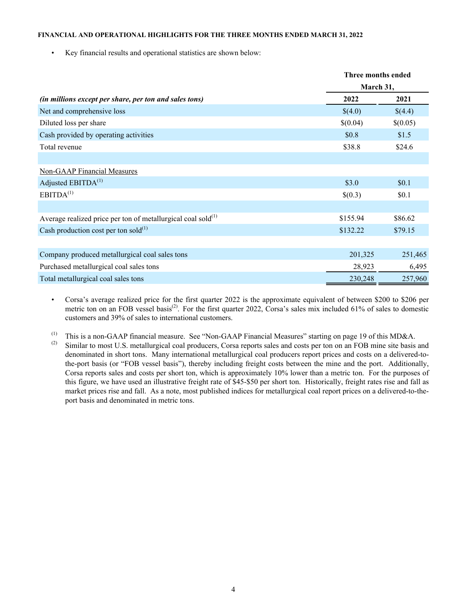#### <span id="page-3-0"></span>**FINANCIAL AND OPERATIONAL HIGHLIGHTS FOR THE THREE MONTHS ENDED MARCH 31, 2022**

• Key financial results and operational statistics are shown below:

|                                                                          | Three months ended |          |  |  |
|--------------------------------------------------------------------------|--------------------|----------|--|--|
|                                                                          | March 31,          |          |  |  |
| (in millions except per share, per ton and sales tons)                   | 2022               | 2021     |  |  |
| Net and comprehensive loss                                               | \$(4.0)            | \$(4.4)  |  |  |
| Diluted loss per share                                                   | \$(0.04)           | \$(0.05) |  |  |
| Cash provided by operating activities                                    | \$0.8              | \$1.5    |  |  |
| Total revenue                                                            | \$38.8             | \$24.6   |  |  |
|                                                                          |                    |          |  |  |
| Non-GAAP Financial Measures                                              |                    |          |  |  |
| Adjusted EBITDA <sup>(1)</sup>                                           | \$3.0              | \$0.1    |  |  |
| EBITDA <sup>(1)</sup>                                                    | \$(0.3)            | \$0.1    |  |  |
|                                                                          |                    |          |  |  |
| Average realized price per ton of metallurgical coal sold <sup>(1)</sup> | \$155.94           | \$86.62  |  |  |
| Cash production cost per ton sold $^{(1)}$                               | \$132.22           | \$79.15  |  |  |
|                                                                          |                    |          |  |  |
| Company produced metallurgical coal sales tons                           | 201,325            | 251,465  |  |  |
| Purchased metallurgical coal sales tons                                  | 28,923             | 6,495    |  |  |
| Total metallurgical coal sales tons                                      | 230,248            | 257,960  |  |  |

- Corsa's average realized price for the first quarter 2022 is the approximate equivalent of between \$200 to \$206 per metric ton on an FOB vessel basis<sup>(2)</sup>. For the first quarter 2022, Corsa's sales mix included 61% of sales to domestic customers and 39% of sales to international customers.
- (1) This is a non-GAAP financial measure. See "Non-GAAP Financial Measures" starting on page [19](#page-18-0) of this MD&A.
- Similar to most U.S. metallurgical coal producers, Corsa reports sales and costs per ton on an FOB mine site basis and denominated in short tons. Many international metallurgical coal producers report prices and costs on a delivered-tothe-port basis (or "FOB vessel basis"), thereby including freight costs between the mine and the port. Additionally, Corsa reports sales and costs per short ton, which is approximately 10% lower than a metric ton. For the purposes of this figure, we have used an illustrative freight rate of \$45-\$50 per short ton. Historically, freight rates rise and fall as market prices rise and fall. As a note, most published indices for metallurgical coal report prices on a delivered-to-theport basis and denominated in metric tons.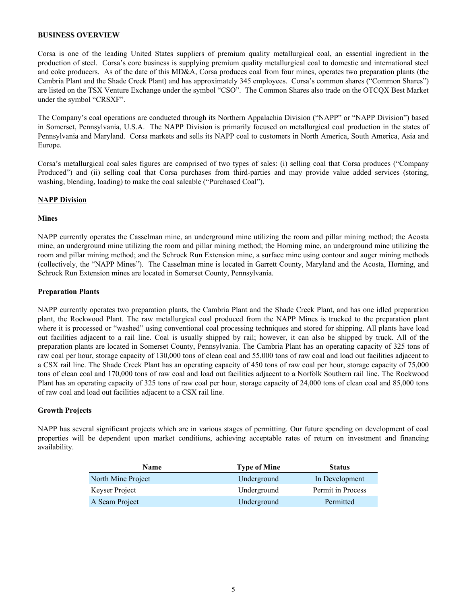#### <span id="page-4-0"></span>**BUSINESS OVERVIEW**

Corsa is one of the leading United States suppliers of premium quality metallurgical coal, an essential ingredient in the production of steel. Corsa's core business is supplying premium quality metallurgical coal to domestic and international steel and coke producers. As of the date of this MD&A, Corsa produces coal from four mines, operates two preparation plants (the Cambria Plant and the Shade Creek Plant) and has approximately 345 employees. Corsa's common shares ("Common Shares") are listed on the TSX Venture Exchange under the symbol "CSO". The Common Shares also trade on the OTCQX Best Market under the symbol "CRSXF".

The Company's coal operations are conducted through its Northern Appalachia Division ("NAPP" or "NAPP Division") based in Somerset, Pennsylvania, U.S.A. The NAPP Division is primarily focused on metallurgical coal production in the states of Pennsylvania and Maryland. Corsa markets and sells its NAPP coal to customers in North America, South America, Asia and Europe.

Corsa's metallurgical coal sales figures are comprised of two types of sales: (i) selling coal that Corsa produces ("Company Produced") and (ii) selling coal that Corsa purchases from third-parties and may provide value added services (storing, washing, blending, loading) to make the coal saleable ("Purchased Coal").

#### **NAPP Division**

#### **Mines**

NAPP currently operates the Casselman mine, an underground mine utilizing the room and pillar mining method; the Acosta mine, an underground mine utilizing the room and pillar mining method; the Horning mine, an underground mine utilizing the room and pillar mining method; and the Schrock Run Extension mine, a surface mine using contour and auger mining methods (collectively, the "NAPP Mines"). The Casselman mine is located in Garrett County, Maryland and the Acosta, Horning, and Schrock Run Extension mines are located in Somerset County, Pennsylvania.

#### **Preparation Plants**

NAPP currently operates two preparation plants, the Cambria Plant and the Shade Creek Plant, and has one idled preparation plant, the Rockwood Plant. The raw metallurgical coal produced from the NAPP Mines is trucked to the preparation plant where it is processed or "washed" using conventional coal processing techniques and stored for shipping. All plants have load out facilities adjacent to a rail line. Coal is usually shipped by rail; however, it can also be shipped by truck. All of the preparation plants are located in Somerset County, Pennsylvania. The Cambria Plant has an operating capacity of 325 tons of raw coal per hour, storage capacity of 130,000 tons of clean coal and 55,000 tons of raw coal and load out facilities adjacent to a CSX rail line. The Shade Creek Plant has an operating capacity of 450 tons of raw coal per hour, storage capacity of 75,000 tons of clean coal and 170,000 tons of raw coal and load out facilities adjacent to a Norfolk Southern rail line. The Rockwood Plant has an operating capacity of 325 tons of raw coal per hour, storage capacity of 24,000 tons of clean coal and 85,000 tons of raw coal and load out facilities adjacent to a CSX rail line.

## **Growth Projects**

NAPP has several significant projects which are in various stages of permitting. Our future spending on development of coal properties will be dependent upon market conditions, achieving acceptable rates of return on investment and financing availability.

| <b>Name</b>        | <b>Type of Mine</b> | <b>Status</b>     |
|--------------------|---------------------|-------------------|
| North Mine Project | Underground         | In Development    |
| Keyser Project     | Underground         | Permit in Process |
| A Seam Project     | Underground         | Permitted         |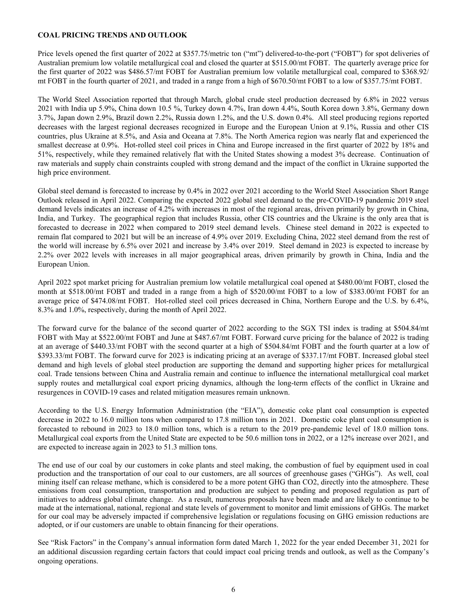## <span id="page-5-0"></span>**COAL PRICING TRENDS AND OUTLOOK**

Price levels opened the first quarter of 2022 at \$357.75/metric ton ("mt") delivered-to-the-port ("FOBT") for spot deliveries of Australian premium low volatile metallurgical coal and closed the quarter at \$515.00/mt FOBT. The quarterly average price for the first quarter of 2022 was \$486.57/mt FOBT for Australian premium low volatile metallurgical coal, compared to \$368.92/ mt FOBT in the fourth quarter of 2021, and traded in a range from a high of \$670.50/mt FOBT to a low of \$357.75/mt FOBT.

The World Steel Association reported that through March, global crude steel production decreased by 6.8% in 2022 versus 2021 with India up 5.9%, China down 10.5 %, Turkey down 4.7%, Iran down 4.4%, South Korea down 3.8%, Germany down 3.7%, Japan down 2.9%, Brazil down 2.2%, Russia down 1.2%, and the U.S. down 0.4%. All steel producing regions reported decreases with the largest regional decreases recognized in Europe and the European Union at 9.1%, Russia and other CIS countries, plus Ukraine at 8.5%, and Asia and Oceana at 7.8%. The North America region was nearly flat and experienced the smallest decrease at 0.9%. Hot-rolled steel coil prices in China and Europe increased in the first quarter of 2022 by 18% and 51%, respectively, while they remained relatively flat with the United States showing a modest 3% decrease. Continuation of raw materials and supply chain constraints coupled with strong demand and the impact of the conflict in Ukraine supported the high price environment.

Global steel demand is forecasted to increase by 0.4% in 2022 over 2021 according to the World Steel Association Short Range Outlook released in April 2022. Comparing the expected 2022 global steel demand to the pre-COVID-19 pandemic 2019 steel demand levels indicates an increase of 4.2% with increases in most of the regional areas, driven primarily by growth in China, India, and Turkey. The geographical region that includes Russia, other CIS countries and the Ukraine is the only area that is forecasted to decrease in 2022 when compared to 2019 steel demand levels. Chinese steel demand in 2022 is expected to remain flat compared to 2021 but will be an increase of 4.9% over 2019. Excluding China, 2022 steel demand from the rest of the world will increase by 6.5% over 2021 and increase by 3.4% over 2019. Steel demand in 2023 is expected to increase by 2.2% over 2022 levels with increases in all major geographical areas, driven primarily by growth in China, India and the European Union.

April 2022 spot market pricing for Australian premium low volatile metallurgical coal opened at \$480.00/mt FOBT, closed the month at \$518.00/mt FOBT and traded in a range from a high of \$520.00/mt FOBT to a low of \$383.00/mt FOBT for an average price of \$474.08/mt FOBT. Hot-rolled steel coil prices decreased in China, Northern Europe and the U.S. by 6.4%, 8.3% and 1.0%, respectively, during the month of April 2022.

The forward curve for the balance of the second quarter of 2022 according to the SGX TSI index is trading at \$504.84/mt FOBT with May at \$522.00/mt FOBT and June at \$487.67/mt FOBT. Forward curve pricing for the balance of 2022 is trading at an average of \$440.33/mt FOBT with the second quarter at a high of \$504.84/mt FOBT and the fourth quarter at a low of \$393.33/mt FOBT. The forward curve for 2023 is indicating pricing at an average of \$337.17/mt FOBT. Increased global steel demand and high levels of global steel production are supporting the demand and supporting higher prices for metallurgical coal. Trade tensions between China and Australia remain and continue to influence the international metallurgical coal market supply routes and metallurgical coal export pricing dynamics, although the long-term effects of the conflict in Ukraine and resurgences in COVID-19 cases and related mitigation measures remain unknown.

According to the U.S. Energy Information Administration (the "EIA"), domestic coke plant coal consumption is expected decrease in 2022 to 16.0 million tons when compared to 17.8 million tons in 2021. Domestic coke plant coal consumption is forecasted to rebound in 2023 to 18.0 million tons, which is a return to the 2019 pre-pandemic level of 18.0 million tons. Metallurgical coal exports from the United State are expected to be 50.6 million tons in 2022, or a 12% increase over 2021, and are expected to increase again in 2023 to 51.3 million tons.

The end use of our coal by our customers in coke plants and steel making, the combustion of fuel by equipment used in coal production and the transportation of our coal to our customers, are all sources of greenhouse gases ("GHGs"). As well, coal mining itself can release methane, which is considered to be a more potent GHG than CO2, directly into the atmosphere. These emissions from coal consumption, transportation and production are subject to pending and proposed regulation as part of initiatives to address global climate change. As a result, numerous proposals have been made and are likely to continue to be made at the international, national, regional and state levels of government to monitor and limit emissions of GHGs. The market for our coal may be adversely impacted if comprehensive legislation or regulations focusing on GHG emission reductions are adopted, or if our customers are unable to obtain financing for their operations.

See "Risk Factors" in the Company's annual information form dated March 1, 2022 for the year ended December 31, 2021 for an additional discussion regarding certain factors that could impact coal pricing trends and outlook, as well as the Company's ongoing operations.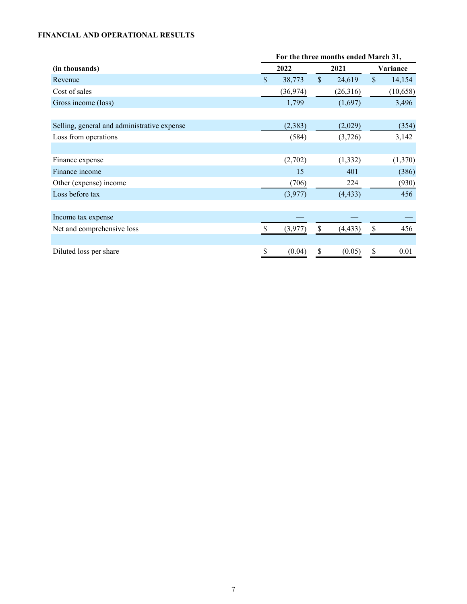# <span id="page-6-0"></span>**FINANCIAL AND OPERATIONAL RESULTS**

|                                             | For the three months ended March 31, |           |               |          |               |           |
|---------------------------------------------|--------------------------------------|-----------|---------------|----------|---------------|-----------|
| (in thousands)                              |                                      | 2022      |               | 2021     | Variance      |           |
| Revenue                                     | $\mathcal{S}$                        | 38,773    | $\mathsf{\$}$ | 24,619   | $\mathsf{\$}$ | 14,154    |
| Cost of sales                               |                                      | (36, 974) |               | (26,316) |               | (10, 658) |
| Gross income (loss)                         |                                      | 1,799     |               | (1,697)  |               | 3,496     |
|                                             |                                      |           |               |          |               |           |
| Selling, general and administrative expense |                                      | (2, 383)  |               | (2,029)  |               | (354)     |
| Loss from operations                        |                                      | (584)     |               | (3,726)  |               | 3,142     |
|                                             |                                      |           |               |          |               |           |
| Finance expense                             |                                      | (2,702)   |               | (1, 332) |               | (1,370)   |
| Finance income                              |                                      | 15        |               | 401      |               | (386)     |
| Other (expense) income                      |                                      | (706)     |               | 224      |               | (930)     |
| Loss before tax                             |                                      | (3,977)   |               | (4, 433) |               | 456       |
|                                             |                                      |           |               |          |               |           |
| Income tax expense                          |                                      |           |               |          |               |           |
| Net and comprehensive loss                  |                                      | (3.977)   | <sup>\$</sup> | (4, 433) | \$            | 456       |
|                                             |                                      |           |               |          |               |           |
| Diluted loss per share                      | \$                                   | (0.04)    |               | (0.05)   | \$            | 0.01      |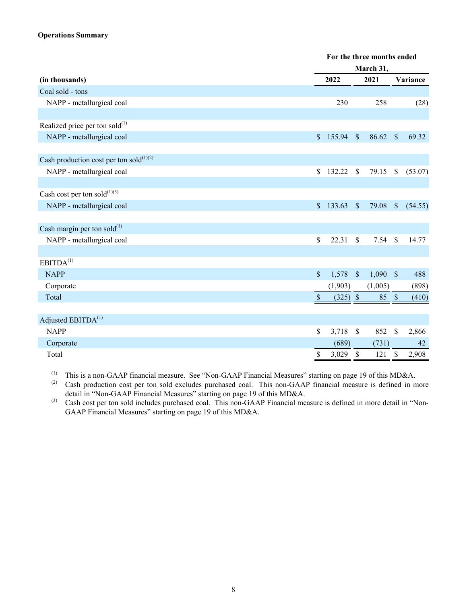## **Operations Summary**

|                                               |               | For the three months ended |                                  |                                    |  |  |
|-----------------------------------------------|---------------|----------------------------|----------------------------------|------------------------------------|--|--|
|                                               |               | March 31,                  |                                  |                                    |  |  |
| (in thousands)                                |               | 2022                       | 2021                             | Variance                           |  |  |
| Coal sold - tons                              |               |                            |                                  |                                    |  |  |
| NAPP - metallurgical coal                     |               | 230                        | 258                              | (28)                               |  |  |
|                                               |               |                            |                                  |                                    |  |  |
| Realized price per ton sold $^{(1)}$          |               |                            |                                  |                                    |  |  |
| NAPP - metallurgical coal                     | $\mathsf{\$}$ | 155.94                     | $\mathcal{S}$<br>86.62           | 69.32<br>$\mathcal{S}$             |  |  |
| Cash production cost per ton sold $^{(1)(2)}$ |               |                            |                                  |                                    |  |  |
| NAPP - metallurgical coal                     | $\mathsf{\$}$ | $132.22$ \$                | 79.15                            | $\sqrt{\ }$<br>(53.07)             |  |  |
|                                               |               |                            |                                  |                                    |  |  |
| Cash cost per ton sold $^{(1)(3)}$            |               |                            |                                  |                                    |  |  |
| NAPP - metallurgical coal                     | $\mathsf{\$}$ | 133.63                     | 79.08<br>$\mathcal{S}$           | $\sqrt{\ }$<br>(54.55)             |  |  |
| Cash margin per ton sold $^{(1)}$             |               |                            |                                  |                                    |  |  |
| NAPP - metallurgical coal                     | \$            | 22.31                      | \$<br>7.54                       | 14.77<br><sup>\$</sup>             |  |  |
|                                               |               |                            |                                  |                                    |  |  |
| EBITDA <sup>(1)</sup>                         |               |                            |                                  |                                    |  |  |
| <b>NAPP</b>                                   | $\mathsf{\$}$ | 1,578                      | $\mathcal{S}$<br>$1,090$ \$      | 488                                |  |  |
| Corporate                                     |               | (1,903)                    | (1,005)                          | (898)                              |  |  |
| Total                                         | <sup>S</sup>  | $(325)$ \$                 | 85 \$                            | (410)                              |  |  |
|                                               |               |                            |                                  |                                    |  |  |
| Adjusted EBITDA <sup>(1)</sup>                |               |                            |                                  |                                    |  |  |
| <b>NAPP</b>                                   | \$            | 3,718                      | 852<br>$\mathcal{S}$             | \$<br>2,866                        |  |  |
| Corporate                                     |               | (689)                      | (731)                            | 42                                 |  |  |
| Total                                         | $\mathbb S$   | 3,029                      | $\boldsymbol{\mathsf{S}}$<br>121 | $\boldsymbol{\mathsf{S}}$<br>2,908 |  |  |

(1) This is a non-GAAP financial measure. See "Non-GAAP Financial Measures" starting on page [19](#page-18-0) of this MD&A.<br>(2) Cash production cost per top sold excludes purchased coal. This pop-GAAP financial measure is defined in m

Cash production cost per ton sold excludes purchased coal. This non-GAAP financial measure is defined in more detail in "Non-GAAP Financial Measures" starting on page [19](#page-18-0) of this MD&A.

(3) Cash cost per ton sold includes purchased coal. This non-GAAP Financial measure is defined in more detail in "Non-GAAP Financial Measures" starting on page [19](#page-18-0) of this MD&A.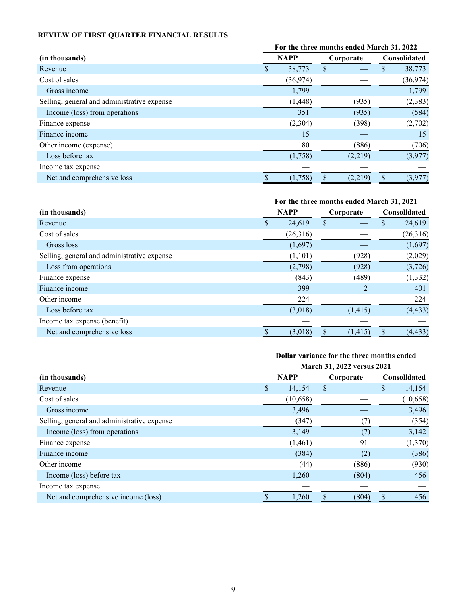# <span id="page-8-0"></span>**REVIEW OF FIRST QUARTER FINANCIAL RESULTS**

|                                             | For the three months ended March 31, 2022 |           |    |           |                     |           |
|---------------------------------------------|-------------------------------------------|-----------|----|-----------|---------------------|-----------|
| (in thousands)                              | <b>NAPP</b>                               |           |    | Corporate | <b>Consolidated</b> |           |
| Revenue                                     | P                                         | 38,773    | \$ |           | S                   | 38,773    |
| Cost of sales                               |                                           | (36, 974) |    |           |                     | (36, 974) |
| Gross income                                |                                           | 1,799     |    |           |                     | 1,799     |
| Selling, general and administrative expense |                                           | (1, 448)  |    | (935)     |                     | (2,383)   |
| Income (loss) from operations               |                                           | 351       |    | (935)     |                     | (584)     |
| Finance expense                             |                                           | (2,304)   |    | (398)     |                     | (2,702)   |
| Finance income                              |                                           | 15        |    |           |                     | 15        |
| Other income (expense)                      |                                           | 180       |    | (886)     |                     | (706)     |
| Loss before tax                             |                                           | (1,758)   |    | (2,219)   |                     | (3,977)   |
| Income tax expense                          |                                           |           |    |           |                     |           |
| Net and comprehensive loss                  |                                           | (1,758)   |    | (2,219)   | S                   | (3,977)   |

|                                             | For the three months ended March 31, 2021 |             |                |                     |  |
|---------------------------------------------|-------------------------------------------|-------------|----------------|---------------------|--|
| (in thousands)                              |                                           | <b>NAPP</b> | Corporate      | <b>Consolidated</b> |  |
| Revenue                                     |                                           | 24,619      | \$             | 24,619<br>\$        |  |
| Cost of sales                               |                                           | (26,316)    |                | (26,316)            |  |
| Gross loss                                  |                                           | (1,697)     |                | (1,697)             |  |
| Selling, general and administrative expense |                                           | (1,101)     | (928)          | (2,029)             |  |
| Loss from operations                        |                                           | (2,798)     | (928)          | (3,726)             |  |
| Finance expense                             |                                           | (843)       | (489)          | (1, 332)            |  |
| Finance income                              |                                           | 399         | $\overline{2}$ | 401                 |  |
| Other income                                |                                           | 224         |                | 224                 |  |
| Loss before tax                             |                                           | (3,018)     | (1, 415)       | (4, 433)            |  |
| Income tax expense (benefit)                |                                           |             |                |                     |  |
| Net and comprehensive loss                  |                                           | (3,018)     | (1, 415)       | (4, 433)<br>S       |  |

# **Dollar variance for the three months ended**

|                                             | March 31, 2022 versus 2021 |          |           |       |     |              |
|---------------------------------------------|----------------------------|----------|-----------|-------|-----|--------------|
| (in thousands)                              | <b>NAPP</b>                |          | Corporate |       |     | Consolidated |
| Revenue                                     | \$                         | 14,154   | \$        |       | \$  | 14,154       |
| Cost of sales                               |                            | (10,658) |           |       |     | (10, 658)    |
| Gross income                                |                            | 3,496    |           |       |     | 3,496        |
| Selling, general and administrative expense |                            | (347)    |           |       |     | (354)        |
| Income (loss) from operations               |                            | 3,149    |           | (7)   |     | 3,142        |
| Finance expense                             |                            | (1,461)  |           | 91    |     | (1,370)      |
| Finance income                              |                            | (384)    |           | (2)   |     | (386)        |
| Other income                                |                            | (44)     |           | (886) |     | (930)        |
| Income (loss) before tax                    |                            | 1,260    |           | (804) |     | 456          |
| Income tax expense                          |                            |          |           |       |     |              |
| Net and comprehensive income (loss)         |                            | 1,260    |           | (804) | \$. | 456          |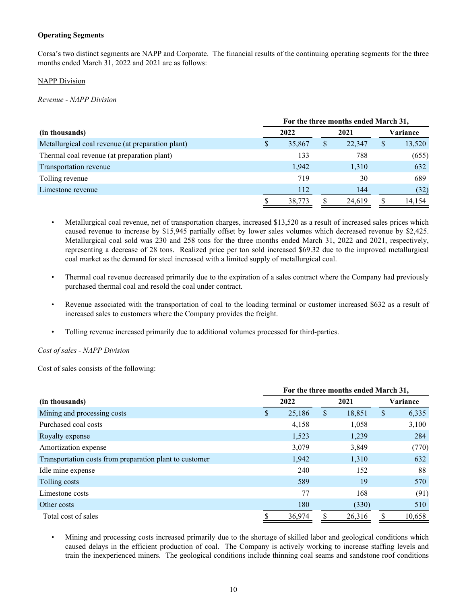## **Operating Segments**

Corsa's two distinct segments are NAPP and Corporate. The financial results of the continuing operating segments for the three months ended March 31, 2022 and 2021 are as follows:

#### NAPP Division

*Revenue - NAPP Division*

|                                                   |   | For the three months ended March 31, |   |        |    |          |  |  |
|---------------------------------------------------|---|--------------------------------------|---|--------|----|----------|--|--|
| (in thousands)                                    |   | 2022                                 |   | 2021   |    | Variance |  |  |
| Metallurgical coal revenue (at preparation plant) | S | 35,867                               | S | 22,347 | \$ | 13,520   |  |  |
| Thermal coal revenue (at preparation plant)       |   | 133                                  |   | 788    |    | (655)    |  |  |
| Transportation revenue                            |   | 1,942                                |   | 1,310  |    | 632      |  |  |
| Tolling revenue                                   |   | 719                                  |   | 30     |    | 689      |  |  |
| Limestone revenue                                 |   | 112                                  |   | 144    |    | (32)     |  |  |
|                                                   |   | 38,773                               |   | 24.619 | S  | 14.154   |  |  |

- Metallurgical coal revenue, net of transportation charges, increased \$13,520 as a result of increased sales prices which caused revenue to increase by \$15,945 partially offset by lower sales volumes which decreased revenue by \$2,425. Metallurgical coal sold was 230 and 258 tons for the three months ended March 31, 2022 and 2021, respectively, representing a decrease of 28 tons. Realized price per ton sold increased \$69.32 due to the improved metallurgical coal market as the demand for steel increased with a limited supply of metallurgical coal.
- Thermal coal revenue decreased primarily due to the expiration of a sales contract where the Company had previously purchased thermal coal and resold the coal under contract.
- Revenue associated with the transportation of coal to the loading terminal or customer increased \$632 as a result of increased sales to customers where the Company provides the freight.
- Tolling revenue increased primarily due to additional volumes processed for third-parties.

*Cost of sales - NAPP Division*

Cost of sales consists of the following:

|                                                         | For the three months ended March 31, |        |      |        |          |        |  |
|---------------------------------------------------------|--------------------------------------|--------|------|--------|----------|--------|--|
| (in thousands)                                          |                                      | 2022   | 2021 |        | Variance |        |  |
| Mining and processing costs                             | S                                    | 25,186 | \$   | 18,851 | \$       | 6,335  |  |
| Purchased coal costs                                    |                                      | 4,158  |      | 1,058  |          | 3,100  |  |
| Royalty expense                                         |                                      | 1,523  |      | 1,239  |          | 284    |  |
| Amortization expense                                    |                                      | 3,079  |      | 3,849  |          | (770)  |  |
| Transportation costs from preparation plant to customer |                                      | 1,942  |      | 1,310  |          | 632    |  |
| Idle mine expense                                       |                                      | 240    |      | 152    |          | 88     |  |
| Tolling costs                                           |                                      | 589    |      | 19     |          | 570    |  |
| Limestone costs                                         |                                      | 77     |      | 168    |          | (91)   |  |
| Other costs                                             |                                      | 180    |      | (330)  |          | 510    |  |
| Total cost of sales                                     | S                                    | 36,974 | S    | 26,316 | S        | 10,658 |  |

• Mining and processing costs increased primarily due to the shortage of skilled labor and geological conditions which caused delays in the efficient production of coal. The Company is actively working to increase staffing levels and train the inexperienced miners. The geological conditions include thinning coal seams and sandstone roof conditions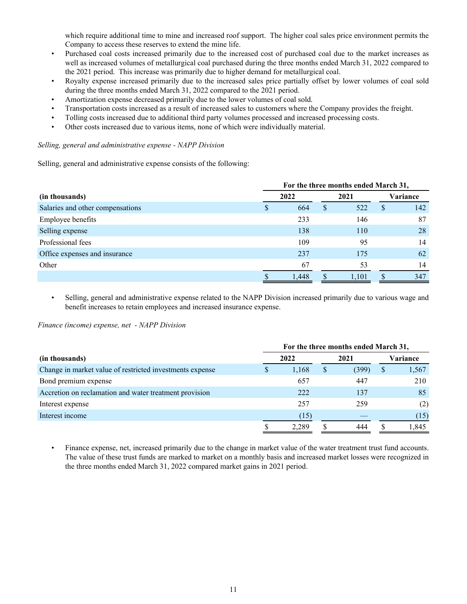which require additional time to mine and increased roof support. The higher coal sales price environment permits the Company to access these reserves to extend the mine life.

- Purchased coal costs increased primarily due to the increased cost of purchased coal due to the market increases as well as increased volumes of metallurgical coal purchased during the three months ended March 31, 2022 compared to the 2021 period. This increase was primarily due to higher demand for metallurgical coal.
- Royalty expense increased primarily due to the increased sales price partially offset by lower volumes of coal sold during the three months ended March 31, 2022 compared to the 2021 period.
- Amortization expense decreased primarily due to the lower volumes of coal sold.
- Transportation costs increased as a result of increased sales to customers where the Company provides the freight.
- Tolling costs increased due to additional third party volumes processed and increased processing costs.
- Other costs increased due to various items, none of which were individually material.

#### *Selling, general and administrative expense - NAPP Division*

Selling, general and administrative expense consists of the following:

|                                  | For the three months ended March 31, |       |      |       |              |     |  |
|----------------------------------|--------------------------------------|-------|------|-------|--------------|-----|--|
| (in thousands)                   |                                      | 2022  | 2021 |       | Variance     |     |  |
| Salaries and other compensations |                                      | 664   | \$   | 522   | <sup>S</sup> | 142 |  |
| Employee benefits                |                                      | 233   |      | 146   |              | 87  |  |
| Selling expense                  |                                      | 138   |      | 110   |              | 28  |  |
| Professional fees                |                                      | 109   |      | 95    |              | 14  |  |
| Office expenses and insurance    |                                      | 237   |      | 175   |              | 62  |  |
| Other                            |                                      | 67    |      | 53    |              | 14  |  |
|                                  |                                      | 1,448 |      | 1,101 |              | 347 |  |

• Selling, general and administrative expense related to the NAPP Division increased primarily due to various wage and benefit increases to retain employees and increased insurance expense.

*Finance (income) expense, net - NAPP Division*

|                                                          | For the three months ended March 31, |       |      |       |          |       |  |
|----------------------------------------------------------|--------------------------------------|-------|------|-------|----------|-------|--|
| (in thousands)                                           |                                      | 2022  | 2021 |       | Variance |       |  |
| Change in market value of restricted investments expense |                                      | 1,168 | \$   | (399) | S        | 1,567 |  |
| Bond premium expense                                     |                                      | 657   |      | 447   |          | 210   |  |
| Accretion on reclamation and water treatment provision   |                                      | 222   |      | 137   |          | 85    |  |
| Interest expense                                         |                                      | 257   |      | 259   |          | (2)   |  |
| Interest income                                          |                                      | (15)  |      |       |          | (15)  |  |
|                                                          |                                      | 2.289 |      | 444   |          | 1.845 |  |

• Finance expense, net, increased primarily due to the change in market value of the water treatment trust fund accounts. The value of these trust funds are marked to market on a monthly basis and increased market losses were recognized in the three months ended March 31, 2022 compared market gains in 2021 period.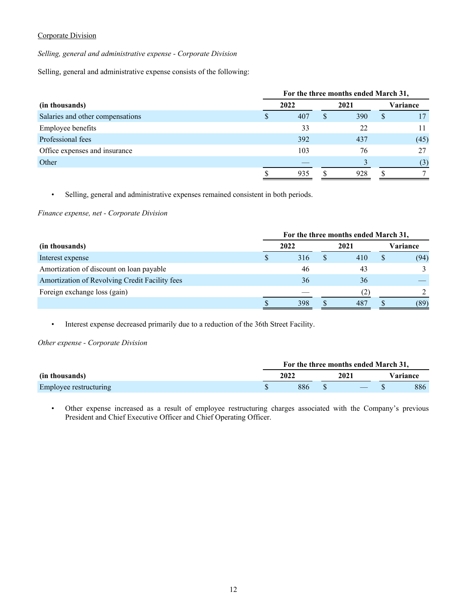## Corporate Division

*Selling, general and administrative expense - Corporate Division*

Selling, general and administrative expense consists of the following:

|                                  | For the three months ended March 31, |   |      |    |          |  |  |  |  |  |  |
|----------------------------------|--------------------------------------|---|------|----|----------|--|--|--|--|--|--|
| (in thousands)                   | 2022                                 |   | 2021 |    | Variance |  |  |  |  |  |  |
| Salaries and other compensations | 407                                  | S | 390  | \$ | 17       |  |  |  |  |  |  |
| <b>Employee benefits</b>         | 33                                   |   | 22   |    |          |  |  |  |  |  |  |
| Professional fees                | 392                                  |   | 437  |    | (45)     |  |  |  |  |  |  |
| Office expenses and insurance    | 103                                  |   | 76   |    | 27       |  |  |  |  |  |  |
| Other                            |                                      |   |      |    | (3)      |  |  |  |  |  |  |
|                                  | 935                                  |   | 928  |    |          |  |  |  |  |  |  |

• Selling, general and administrative expenses remained consistent in both periods.

*Finance expense, net - Corporate Division*

|                                                |   | For the three months ended March 31, |  |      |  |          |  |  |  |  |  |  |
|------------------------------------------------|---|--------------------------------------|--|------|--|----------|--|--|--|--|--|--|
| (in thousands)                                 |   | 2022                                 |  | 2021 |  | Variance |  |  |  |  |  |  |
| Interest expense                               | J | 316                                  |  | 410  |  | (94)     |  |  |  |  |  |  |
| Amortization of discount on loan payable       |   | 46                                   |  | 43   |  |          |  |  |  |  |  |  |
| Amortization of Revolving Credit Facility fees |   | 36                                   |  | 36   |  |          |  |  |  |  |  |  |
| Foreign exchange loss (gain)                   |   |                                      |  | (2)  |  |          |  |  |  |  |  |  |
|                                                |   | 398                                  |  | 487  |  | (89)     |  |  |  |  |  |  |

• Interest expense decreased primarily due to a reduction of the 36th Street Facility.

*Other expense - Corporate Division*

|                        |  |      | For the three months ended March 31, |          |     |  |  |
|------------------------|--|------|--------------------------------------|----------|-----|--|--|
| (in thousands)         |  | 2022 | 2021                                 | Variance |     |  |  |
| Employee restructuring |  | 886  |                                      |          | 886 |  |  |

• Other expense increased as a result of employee restructuring charges associated with the Company's previous President and Chief Executive Officer and Chief Operating Officer.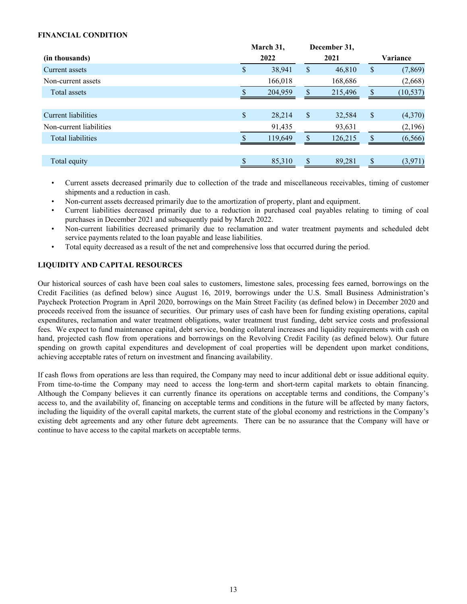## <span id="page-12-0"></span>**FINANCIAL CONDITION**

|               | 2022    |               | 2021    |              | Variance  |
|---------------|---------|---------------|---------|--------------|-----------|
| <sup>\$</sup> | 38,941  | \$            | 46,810  | \$           | (7, 869)  |
|               | 166,018 |               | 168,686 |              | (2,668)   |
|               | 204,959 | \$            | 215,496 | \$           | (10, 537) |
|               |         |               |         |              |           |
| \$            | 28,214  | $\sqrt{\ }$   | 32,584  | \$           | (4,370)   |
|               | 91,435  |               | 93,631  |              | (2,196)   |
|               | 119,649 | <sup>\$</sup> | 126,215 | \$           | (6, 566)  |
|               |         |               |         |              |           |
|               | 85,310  |               | 89,281  | \$           | (3,971)   |
|               |         | March 31,     |         | December 31, |           |

- Current assets decreased primarily due to collection of the trade and miscellaneous receivables, timing of customer shipments and a reduction in cash.
- Non-current assets decreased primarily due to the amortization of property, plant and equipment.
- Current liabilities decreased primarily due to a reduction in purchased coal payables relating to timing of coal purchases in December 2021 and subsequently paid by March 2022.
- Non-current liabilities decreased primarily due to reclamation and water treatment payments and scheduled debt service payments related to the loan payable and lease liabilities.
- Total equity decreased as a result of the net and comprehensive loss that occurred during the period.

## **LIQUIDITY AND CAPITAL RESOURCES**

Our historical sources of cash have been coal sales to customers, limestone sales, processing fees earned, borrowings on the Credit Facilities (as defined below) since August 16, 2019, borrowings under the U.S. Small Business Administration's Paycheck Protection Program in April 2020, borrowings on the Main Street Facility (as defined below) in December 2020 and proceeds received from the issuance of securities. Our primary uses of cash have been for funding existing operations, capital expenditures, reclamation and water treatment obligations, water treatment trust funding, debt service costs and professional fees. We expect to fund maintenance capital, debt service, bonding collateral increases and liquidity requirements with cash on hand, projected cash flow from operations and borrowings on the Revolving Credit Facility (as defined below). Our future spending on growth capital expenditures and development of coal properties will be dependent upon market conditions, achieving acceptable rates of return on investment and financing availability.

If cash flows from operations are less than required, the Company may need to incur additional debt or issue additional equity. From time-to-time the Company may need to access the long-term and short-term capital markets to obtain financing. Although the Company believes it can currently finance its operations on acceptable terms and conditions, the Company's access to, and the availability of, financing on acceptable terms and conditions in the future will be affected by many factors, including the liquidity of the overall capital markets, the current state of the global economy and restrictions in the Company's existing debt agreements and any other future debt agreements. There can be no assurance that the Company will have or continue to have access to the capital markets on acceptable terms.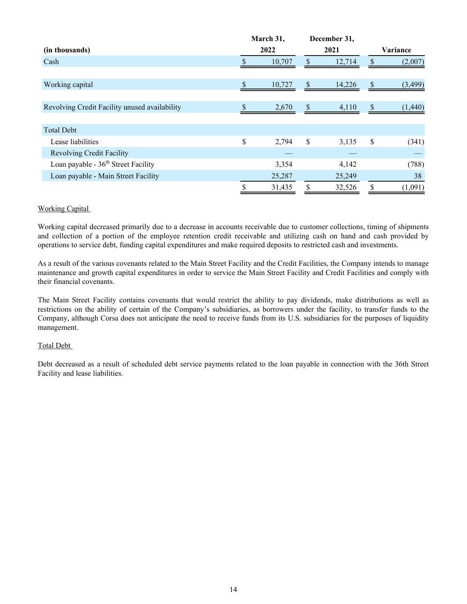|                                               |        | March 31, |               | December 31, |    |          |
|-----------------------------------------------|--------|-----------|---------------|--------------|----|----------|
| (in thousands)                                |        | 2022      |               | 2021         |    | Variance |
| Cash                                          | 10,707 |           | <sup>\$</sup> | 12,714       | S  | (2,007)  |
|                                               |        |           |               |              |    |          |
| Working capital                               |        | 10,727    | <sup>S</sup>  | 14,226       | \$ | (3, 499) |
|                                               |        |           |               |              |    |          |
| Revolving Credit Facility unused availability |        | 2,670     | $\mathbb{S}$  | 4,110        | \$ | (1,440)  |
|                                               |        |           |               |              |    |          |
| <b>Total Debt</b>                             |        |           |               |              |    |          |
| Lease liabilities                             | \$     | 2,794     | \$            | 3,135        | \$ | (341)    |
| <b>Revolving Credit Facility</b>              |        |           |               |              |    |          |
| Loan payable - $36th$ Street Facility         |        | 3,354     |               | 4,142        |    | (788)    |
| Loan payable - Main Street Facility           |        | 25,287    |               | 25,249       |    | 38       |
|                                               |        | 31,435    |               | 32,526       | \$ | (1,091)  |

## Working Capital

Working capital decreased primarily due to a decrease in accounts receivable due to customer collections, timing of shipments and collection of a portion of the employee retention credit receivable and utilizing cash on hand and cash provided by operations to service debt, funding capital expenditures and make required deposits to restricted cash and investments.

As a result of the various covenants related to the Main Street Facility and the Credit Facilities, the Company intends to manage maintenance and growth capital expenditures in order to service the Main Street Facility and Credit Facilities and comply with their financial covenants.

The Main Street Facility contains covenants that would restrict the ability to pay dividends, make distributions as well as restrictions on the ability of certain of the Company's subsidiaries, as borrowers under the facility, to transfer funds to the Company, although Corsa does not anticipate the need to receive funds from its U.S. subsidiaries for the purposes of liquidity management.

## Total Debt

Debt decreased as a result of scheduled debt service payments related to the loan payable in connection with the 36th Street Facility and lease liabilities.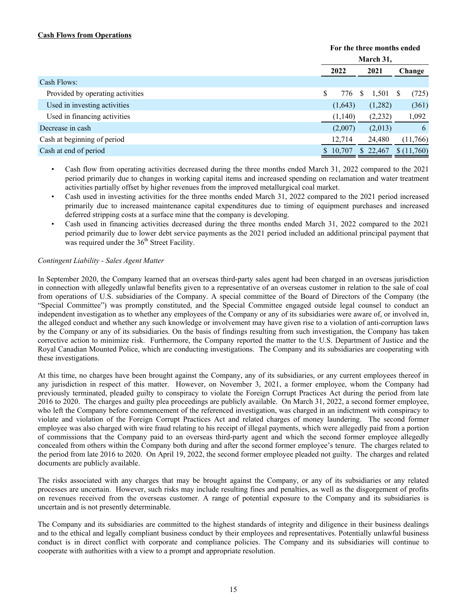## **Cash Flows from Operations**

|                                  |      | For the three months ended |   |          |  |            |  |  |
|----------------------------------|------|----------------------------|---|----------|--|------------|--|--|
|                                  |      | March 31,                  |   |          |  |            |  |  |
|                                  | 2022 |                            |   | 2021     |  | Change     |  |  |
| Cash Flows:                      |      |                            |   |          |  |            |  |  |
| Provided by operating activities | S    | 776                        | S | 1,501    |  | (725)      |  |  |
| Used in investing activities     |      | (1,643)                    |   | (1,282)  |  | (361)      |  |  |
| Used in financing activities     |      | (1,140)                    |   | (2, 232) |  | 1,092      |  |  |
| Decrease in cash                 |      | (2,007)                    |   | (2,013)  |  | 6          |  |  |
| Cash at beginning of period      |      | 12,714                     |   | 24,480   |  | (11,766)   |  |  |
| Cash at end of period            |      | \$10,707                   |   | \$22,467 |  | \$(11,760) |  |  |

- Cash flow from operating activities decreased during the three months ended March 31, 2022 compared to the 2021 period primarily due to changes in working capital items and increased spending on reclamation and water treatment activities partially offset by higher revenues from the improved metallurgical coal market.
- Cash used in investing activities for the three months ended March 31, 2022 compared to the 2021 period increased primarily due to increased maintenance capital expenditures due to timing of equipment purchases and increased deferred stripping costs at a surface mine that the company is developing.
- Cash used in financing activities decreased during the three months ended March 31, 2022 compared to the 2021 period primarily due to lower debt service payments as the 2021 period included an additional principal payment that was required under the  $36<sup>th</sup>$  Street Facility.

## *Contingent Liability - Sales Agent Matter*

In September 2020, the Company learned that an overseas third-party sales agent had been charged in an overseas jurisdiction in connection with allegedly unlawful benefits given to a representative of an overseas customer in relation to the sale of coal from operations of U.S. subsidiaries of the Company. A special committee of the Board of Directors of the Company (the "Special Committee") was promptly constituted, and the Special Committee engaged outside legal counsel to conduct an independent investigation as to whether any employees of the Company or any of its subsidiaries were aware of, or involved in, the alleged conduct and whether any such knowledge or involvement may have given rise to a violation of anti-corruption laws by the Company or any of its subsidiaries. On the basis of findings resulting from such investigation, the Company has taken corrective action to minimize risk. Furthermore, the Company reported the matter to the U.S. Department of Justice and the Royal Canadian Mounted Police, which are conducting investigations. The Company and its subsidiaries are cooperating with these investigations.

At this time, no charges have been brought against the Company, any of its subsidiaries, or any current employees thereof in any jurisdiction in respect of this matter. However, on November 3, 2021, a former employee, whom the Company had previously terminated, pleaded guilty to conspiracy to violate the Foreign Corrupt Practices Act during the period from late 2016 to 2020. The charges and guilty plea proceedings are publicly available. On March 31, 2022, a second former employee, who left the Company before commencement of the referenced investigation, was charged in an indictment with conspiracy to violate and violation of the Foreign Corrupt Practices Act and related charges of money laundering. The second former employee was also charged with wire fraud relating to his receipt of illegal payments, which were allegedly paid from a portion of commissions that the Company paid to an overseas third-party agent and which the second former employee allegedly concealed from others within the Company both during and after the second former employee's tenure. The charges related to the period from late 2016 to 2020. On April 19, 2022, the second former employee pleaded not guilty. The charges and related documents are publicly available.

The risks associated with any charges that may be brought against the Company, or any of its subsidiaries or any related processes are uncertain. However, such risks may include resulting fines and penalties, as well as the disgorgement of profits on revenues received from the overseas customer. A range of potential exposure to the Company and its subsidiaries is uncertain and is not presently determinable.

The Company and its subsidiaries are committed to the highest standards of integrity and diligence in their business dealings and to the ethical and legally compliant business conduct by their employees and representatives. Potentially unlawful business conduct is in direct conflict with corporate and compliance policies. The Company and its subsidiaries will continue to cooperate with authorities with a view to a prompt and appropriate resolution.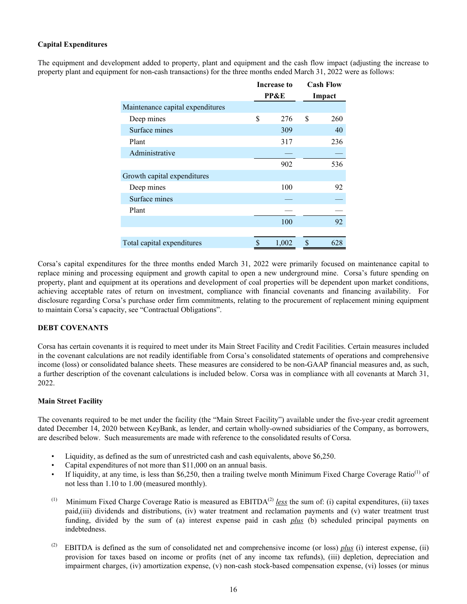## <span id="page-15-0"></span>**Capital Expenditures**

The equipment and development added to property, plant and equipment and the cash flow impact (adjusting the increase to property plant and equipment for non-cash transactions) for the three months ended March 31, 2022 were as follows:

|                                  | <b>Increase to</b> | <b>Cash Flow</b> |
|----------------------------------|--------------------|------------------|
|                                  | <b>PP&amp;E</b>    | Impact           |
| Maintenance capital expenditures |                    |                  |
| Deep mines                       | \$<br>276          | \$<br>260        |
| Surface mines                    | 309                | 40               |
| Plant                            | 317                | 236              |
| Administrative                   |                    |                  |
|                                  | 902                | 536              |
| Growth capital expenditures      |                    |                  |
| Deep mines                       | 100                | 92               |
| Surface mines                    |                    |                  |
| Plant                            |                    |                  |
|                                  | 100                | 92               |
|                                  |                    |                  |
| Total capital expenditures       | \$<br>1,002        | \$<br>628        |

Corsa's capital expenditures for the three months ended March 31, 2022 were primarily focused on maintenance capital to replace mining and processing equipment and growth capital to open a new underground mine. Corsa's future spending on property, plant and equipment at its operations and development of coal properties will be dependent upon market conditions, achieving acceptable rates of return on investment, compliance with financial covenants and financing availability. For disclosure regarding Corsa's purchase order firm commitments, relating to the procurement of replacement mining equipment to maintain Corsa's capacity, see "Contractual Obligations".

## **DEBT COVENANTS**

Corsa has certain covenants it is required to meet under its Main Street Facility and Credit Facilities. Certain measures included in the covenant calculations are not readily identifiable from Corsa's consolidated statements of operations and comprehensive income (loss) or consolidated balance sheets. These measures are considered to be non-GAAP financial measures and, as such, a further description of the covenant calculations is included below. Corsa was in compliance with all covenants at March 31, 2022.

## **Main Street Facility**

The covenants required to be met under the facility (the "Main Street Facility") available under the five-year credit agreement dated December 14, 2020 between KeyBank, as lender, and certain wholly-owned subsidiaries of the Company, as borrowers, are described below. Such measurements are made with reference to the consolidated results of Corsa.

- Liquidity, as defined as the sum of unrestricted cash and cash equivalents, above \$6,250.
- Capital expenditures of not more than \$11,000 on an annual basis.
- If liquidity, at any time, is less than \$6,250, then a trailing twelve month Minimum Fixed Charge Coverage Ratio<sup>(1)</sup> of not less than 1.10 to 1.00 (measured monthly).
- (1) Minimum Fixed Charge Coverage Ratio is measured as  $EBITDA<sup>(2)</sup>$  *less* the sum of: (i) capital expenditures, (ii) taxes paid,(iii) dividends and distributions, (iv) water treatment and reclamation payments and (v) water treatment trust funding, divided by the sum of (a) interest expense paid in cash *plus* (b) scheduled principal payments on indebtedness.
- (2) EBITDA is defined as the sum of consolidated net and comprehensive income (or loss) *plus* (i) interest expense, (ii) provision for taxes based on income or profits (net of any income tax refunds), (iii) depletion, depreciation and impairment charges, (iv) amortization expense, (v) non-cash stock-based compensation expense, (vi) losses (or minus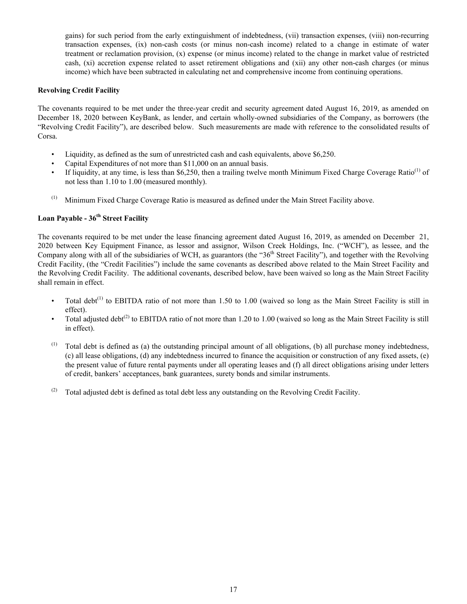gains) for such period from the early extinguishment of indebtedness, (vii) transaction expenses, (viii) non-recurring transaction expenses, (ix) non-cash costs (or minus non-cash income) related to a change in estimate of water treatment or reclamation provision, (x) expense (or minus income) related to the change in market value of restricted cash, (xi) accretion expense related to asset retirement obligations and (xii) any other non-cash charges (or minus income) which have been subtracted in calculating net and comprehensive income from continuing operations.

## **Revolving Credit Facility**

The covenants required to be met under the three-year credit and security agreement dated August 16, 2019, as amended on December 18, 2020 between KeyBank, as lender, and certain wholly-owned subsidiaries of the Company, as borrowers (the "Revolving Credit Facility"), are described below. Such measurements are made with reference to the consolidated results of Corsa.

- Liquidity, as defined as the sum of unrestricted cash and cash equivalents, above \$6,250.
- Capital Expenditures of not more than \$11,000 on an annual basis.
- If liquidity, at any time, is less than \$6,250, then a trailing twelve month Minimum Fixed Charge Coverage Ratio<sup>(1)</sup> of not less than 1.10 to 1.00 (measured monthly).
- (1) Minimum Fixed Charge Coverage Ratio is measured as defined under the Main Street Facility above.

# **Loan Payable - 36th Street Facility**

The covenants required to be met under the lease financing agreement dated August 16, 2019, as amended on December 21, 2020 between Key Equipment Finance, as lessor and assignor, Wilson Creek Holdings, Inc. ("WCH"), as lessee, and the Company along with all of the subsidiaries of WCH, as guarantors (the "36<sup>th</sup> Street Facility"), and together with the Revolving Credit Facility, (the "Credit Facilities") include the same covenants as described above related to the Main Street Facility and the Revolving Credit Facility. The additional covenants, described below, have been waived so long as the Main Street Facility shall remain in effect.

- Total debt<sup>(1)</sup> to EBITDA ratio of not more than 1.50 to 1.00 (waived so long as the Main Street Facility is still in effect).
- Total adjusted debt<sup>(2)</sup> to EBITDA ratio of not more than 1.20 to 1.00 (waived so long as the Main Street Facility is still in effect).
- $(1)$  Total debt is defined as (a) the outstanding principal amount of all obligations, (b) all purchase money indebtedness, (c) all lease obligations, (d) any indebtedness incurred to finance the acquisition or construction of any fixed assets, (e) the present value of future rental payments under all operating leases and (f) all direct obligations arising under letters of credit, bankers' acceptances, bank guarantees, surety bonds and similar instruments.
- (2) Total adjusted debt is defined as total debt less any outstanding on the Revolving Credit Facility.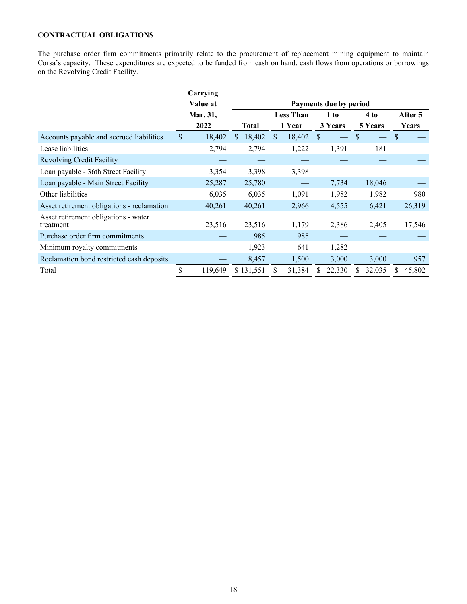# <span id="page-17-0"></span>**CONTRACTUAL OBLIGATIONS**

The purchase order firm commitments primarily relate to the procurement of replacement mining equipment to maintain Corsa's capacity. These expenditures are expected to be funded from cash on hand, cash flows from operations or borrowings on the Revolving Credit Facility.

|                                                   |              | Carrying |     |           |     |                  |               |                        |    |         |               |         |
|---------------------------------------------------|--------------|----------|-----|-----------|-----|------------------|---------------|------------------------|----|---------|---------------|---------|
|                                                   |              | Value at |     |           |     |                  |               | Payments due by period |    |         |               |         |
|                                                   |              | Mar. 31, |     |           |     | <b>Less Than</b> |               | 1 to                   |    | 4 to    |               | After 5 |
|                                                   |              | 2022     |     | Total     |     | 1 Year           |               | 3 Years                |    | 5 Years |               | Years   |
| Accounts payable and accrued liabilities          | $\mathbb{S}$ | 18,402   | \$. | 18,402    | \$. | 18,402           | <sup>\$</sup> |                        | \$ |         | <sup>\$</sup> |         |
| Lease liabilities                                 |              | 2,794    |     | 2,794     |     | 1,222            |               | 1,391                  |    | 181     |               |         |
| <b>Revolving Credit Facility</b>                  |              |          |     |           |     |                  |               |                        |    |         |               |         |
| Loan payable - 36th Street Facility               |              | 3,354    |     | 3,398     |     | 3,398            |               |                        |    |         |               |         |
| Loan payable - Main Street Facility               |              | 25,287   |     | 25,780    |     |                  |               | 7,734                  |    | 18,046  |               |         |
| Other liabilities                                 |              | 6,035    |     | 6,035     |     | 1,091            |               | 1,982                  |    | 1,982   |               | 980     |
| Asset retirement obligations - reclamation        |              | 40,261   |     | 40,261    |     | 2,966            |               | 4,555                  |    | 6,421   |               | 26,319  |
| Asset retirement obligations - water<br>treatment |              | 23,516   |     | 23,516    |     | 1,179            |               | 2,386                  |    | 2,405   |               | 17,546  |
| Purchase order firm commitments                   |              |          |     | 985       |     | 985              |               |                        |    |         |               |         |
| Minimum royalty commitments                       |              |          |     | 1,923     |     | 641              |               | 1,282                  |    |         |               |         |
| Reclamation bond restricted cash deposits         |              |          |     | 8,457     |     | 1,500            |               | 3,000                  |    | 3,000   |               | 957     |
| Total                                             |              | 119,649  |     | \$131,551 |     | 31,384           |               | 22,330                 |    | 32,035  |               | 45,802  |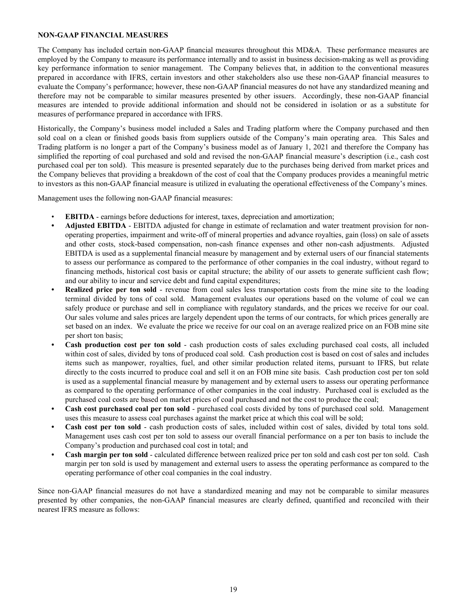## <span id="page-18-0"></span>**NON-GAAP FINANCIAL MEASURES**

The Company has included certain non-GAAP financial measures throughout this MD&A. These performance measures are employed by the Company to measure its performance internally and to assist in business decision-making as well as providing key performance information to senior management. The Company believes that, in addition to the conventional measures prepared in accordance with IFRS, certain investors and other stakeholders also use these non-GAAP financial measures to evaluate the Company's performance; however, these non-GAAP financial measures do not have any standardized meaning and therefore may not be comparable to similar measures presented by other issuers. Accordingly, these non-GAAP financial measures are intended to provide additional information and should not be considered in isolation or as a substitute for measures of performance prepared in accordance with IFRS.

Historically, the Company's business model included a Sales and Trading platform where the Company purchased and then sold coal on a clean or finished goods basis from suppliers outside of the Company's main operating area. This Sales and Trading platform is no longer a part of the Company's business model as of January 1, 2021 and therefore the Company has simplified the reporting of coal purchased and sold and revised the non-GAAP financial measure's description (i.e., cash cost purchased coal per ton sold). This measure is presented separately due to the purchases being derived from market prices and the Company believes that providing a breakdown of the cost of coal that the Company produces provides a meaningful metric to investors as this non-GAAP financial measure is utilized in evaluating the operational effectiveness of the Company's mines.

Management uses the following non-GAAP financial measures:

- **EBITDA** earnings before deductions for interest, taxes, depreciation and amortization;
- **• Adjusted EBITDA** EBITDA adjusted for change in estimate of reclamation and water treatment provision for nonoperating properties, impairment and write-off of mineral properties and advance royalties, gain (loss) on sale of assets and other costs, stock-based compensation, non-cash finance expenses and other non-cash adjustments. Adjusted EBITDA is used as a supplemental financial measure by management and by external users of our financial statements to assess our performance as compared to the performance of other companies in the coal industry, without regard to financing methods, historical cost basis or capital structure; the ability of our assets to generate sufficient cash flow; and our ability to incur and service debt and fund capital expenditures;
- **Realized price per ton sold** revenue from coal sales less transportation costs from the mine site to the loading terminal divided by tons of coal sold. Management evaluates our operations based on the volume of coal we can safely produce or purchase and sell in compliance with regulatory standards, and the prices we receive for our coal. Our sales volume and sales prices are largely dependent upon the terms of our contracts, for which prices generally are set based on an index. We evaluate the price we receive for our coal on an average realized price on an FOB mine site per short ton basis;
- **• Cash production cost per ton sold** cash production costs of sales excluding purchased coal costs, all included within cost of sales, divided by tons of produced coal sold. Cash production cost is based on cost of sales and includes items such as manpower, royalties, fuel, and other similar production related items, pursuant to IFRS, but relate directly to the costs incurred to produce coal and sell it on an FOB mine site basis. Cash production cost per ton sold is used as a supplemental financial measure by management and by external users to assess our operating performance as compared to the operating performance of other companies in the coal industry. Purchased coal is excluded as the purchased coal costs are based on market prices of coal purchased and not the cost to produce the coal;
- **• Cash cost purchased coal per ton sold** purchased coal costs divided by tons of purchased coal sold. Management uses this measure to assess coal purchases against the market price at which this coal will be sold;
- **• Cash cost per ton sold** cash production costs of sales, included within cost of sales, divided by total tons sold. Management uses cash cost per ton sold to assess our overall financial performance on a per ton basis to include the Company's production and purchased coal cost in total; and
- **• Cash margin per ton sold** calculated difference between realized price per ton sold and cash cost per ton sold. Cash margin per ton sold is used by management and external users to assess the operating performance as compared to the operating performance of other coal companies in the coal industry.

Since non-GAAP financial measures do not have a standardized meaning and may not be comparable to similar measures presented by other companies, the non-GAAP financial measures are clearly defined, quantified and reconciled with their nearest IFRS measure as follows: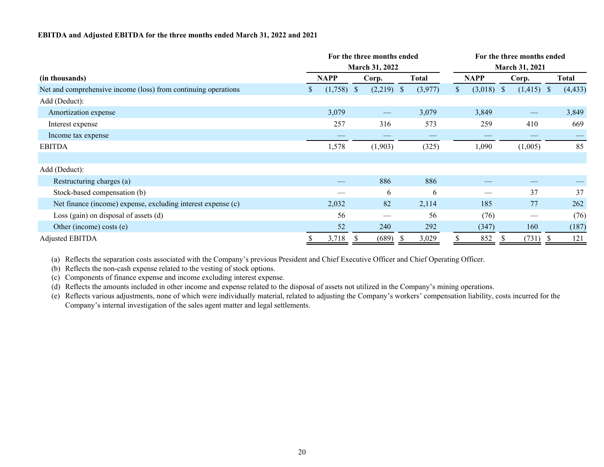#### **EBITDA and Adjusted EBITDA for the three months ended March 31, 2022 and 2021**

| For the three months ended                                     |               |             |              |                       |       |                       | For the three months ended |              |  |                   |  |          |  |  |  |
|----------------------------------------------------------------|---------------|-------------|--------------|-----------------------|-------|-----------------------|----------------------------|--------------|--|-------------------|--|----------|--|--|--|
|                                                                |               |             |              | <b>March 31, 2022</b> |       | <b>March 31, 2021</b> |                            |              |  |                   |  |          |  |  |  |
| (in thousands)                                                 |               | <b>NAPP</b> | Corp.        |                       | Total |                       |                            | <b>NAPP</b>  |  | Corp.             |  | Total    |  |  |  |
| Net and comprehensive income (loss) from continuing operations | $\mathcal{P}$ | (1,758)     | <sup>S</sup> | $(2,219)$ \$          |       | (3,977)               | S.                         | $(3,018)$ \$ |  | $(1,415)$ \$      |  | (4, 433) |  |  |  |
| Add (Deduct):                                                  |               |             |              |                       |       |                       |                            |              |  |                   |  |          |  |  |  |
| Amortization expense                                           |               | 3,079       |              | $\hspace{0.05cm}$     |       | 3,079                 |                            | 3,849        |  | $\hspace{0.05cm}$ |  | 3,849    |  |  |  |
| Interest expense                                               |               | 257         |              | 316                   |       | 573                   |                            | 259          |  | 410               |  | 669      |  |  |  |
| Income tax expense                                             |               |             |              |                       |       |                       |                            |              |  |                   |  |          |  |  |  |
| <b>EBITDA</b>                                                  |               | 1,578       |              | (1,903)               |       | (325)                 |                            | 1,090        |  | (1,005)           |  | 85       |  |  |  |
|                                                                |               |             |              |                       |       |                       |                            |              |  |                   |  |          |  |  |  |
| Add (Deduct):                                                  |               |             |              |                       |       |                       |                            |              |  |                   |  |          |  |  |  |
| Restructuring charges (a)                                      |               |             |              | 886                   |       | 886                   |                            |              |  |                   |  |          |  |  |  |
| Stock-based compensation (b)                                   |               |             |              | 6                     |       | 6                     |                            |              |  | 37                |  | 37       |  |  |  |
| Net finance (income) expense, excluding interest expense (c)   |               | 2,032       |              | 82                    |       | 2,114                 |                            | 185          |  | 77                |  | 262      |  |  |  |
| Loss (gain) on disposal of assets $(d)$                        |               | 56          |              |                       |       | 56                    |                            | (76)         |  |                   |  | (76)     |  |  |  |
| Other (income) costs (e)                                       |               | 52          |              | 240                   |       | 292                   |                            | (347)        |  | 160               |  | (187)    |  |  |  |
| <b>Adjusted EBITDA</b>                                         |               | 3,718       |              | (689)                 |       | 3,029                 |                            | 852          |  | (731)             |  | 121      |  |  |  |

(a) Reflects the separation costs associated with the Company's previous President and Chief Executive Officer and Chief Operating Officer.

(b) Reflects the non-cash expense related to the vesting of stock options.

(c) Components of finance expense and income excluding interest expense.

(d) Reflects the amounts included in other income and expense related to the disposal of assets not utilized in the Company's mining operations.

(e) Reflects various adjustments, none of which were individually material, related to adjusting the Company's workers' compensation liability, costs incurred for the Company's internal investigation of the sales agent matter and legal settlements.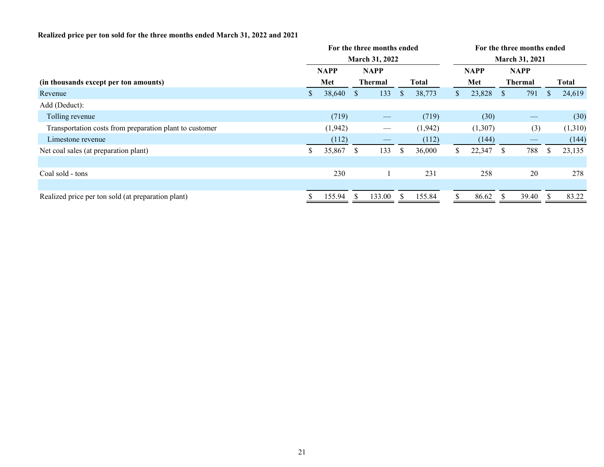# **Realized price per ton sold for the three months ended March 31, 2022 and 2021**

|                | For the three months ended |                |                   |              |         |                       | For the three months ended |              |                                               |              |              |  |  |  |
|----------------|----------------------------|----------------|-------------------|--------------|---------|-----------------------|----------------------------|--------------|-----------------------------------------------|--------------|--------------|--|--|--|
| March 31, 2022 |                            |                |                   |              |         | <b>March 31, 2021</b> |                            |              |                                               |              |              |  |  |  |
| <b>NAPP</b>    |                            | <b>NAPP</b>    |                   |              |         |                       |                            | <b>NAPP</b>  |                                               |              |              |  |  |  |
|                | Met                        | <b>Thermal</b> |                   | <b>Total</b> |         |                       | Met                        |              | <b>Thermal</b>                                |              | <b>Total</b> |  |  |  |
|                | 38,640                     | <sup>S</sup>   | 133               | <sup>S</sup> | 38,773  | S.                    | 23,828                     | <sup>S</sup> | 791                                           | <b>S</b>     | 24,619       |  |  |  |
|                |                            |                |                   |              |         |                       |                            |              |                                               |              |              |  |  |  |
|                | (719)                      |                | $\hspace{0.05cm}$ |              | (719)   |                       | (30)                       |              | $\hspace{0.05cm}$                             |              | (30)         |  |  |  |
|                | (1,942)                    |                | $\hspace{0.05cm}$ |              | (1,942) |                       | (1,307)                    |              | (3)                                           |              | (1,310)      |  |  |  |
|                | (112)                      |                |                   |              | (112)   |                       | (144)                      |              | $\qquad \qquad \overbrace{\qquad \qquad }^{}$ |              | (144)        |  |  |  |
| S              | 35,867                     | <sup>S</sup>   | 133               | <sup>S</sup> | 36,000  | S.                    | 22,347                     | <sup>S</sup> | 788                                           | <sup>S</sup> | 23,135       |  |  |  |
|                |                            |                |                   |              |         |                       |                            |              |                                               |              |              |  |  |  |
|                | 230                        |                |                   |              | 231     |                       | 258                        |              | 20                                            |              | 278          |  |  |  |
|                |                            |                |                   |              |         |                       |                            |              |                                               |              |              |  |  |  |
|                | 155.94                     |                | 133.00            |              | 155.84  |                       | 86.62                      |              | 39.40                                         |              | 83.22        |  |  |  |
|                |                            |                |                   |              |         |                       |                            | <b>NAPP</b>  |                                               |              |              |  |  |  |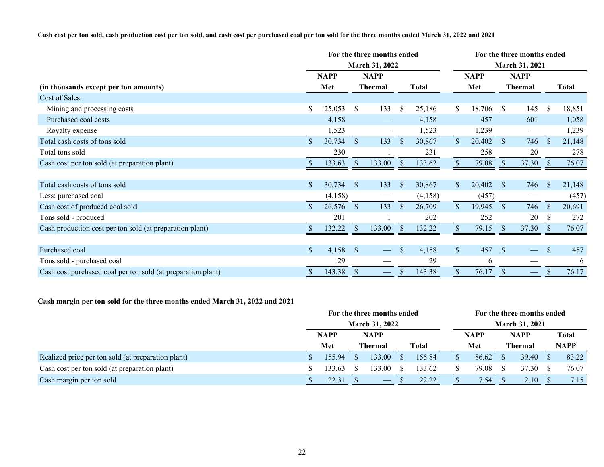#### **Cash cost per ton sold, cash production cost per ton sold, and cash cost per purchased coal per ton sold for the three months ended March 31, 2022 and 2021**

|                                                              | For the three months ended |                               |                   |                           |         |               | For the three months ended |                |                   |               |              |  |  |  |
|--------------------------------------------------------------|----------------------------|-------------------------------|-------------------|---------------------------|---------|---------------|----------------------------|----------------|-------------------|---------------|--------------|--|--|--|
|                                                              | March 31, 2022             |                               |                   |                           |         |               |                            | March 31, 2021 |                   |               |              |  |  |  |
|                                                              | <b>NAPP</b>                | <b>NAPP</b><br><b>Thermal</b> |                   | Total                     |         |               | <b>NAPP</b>                | <b>NAPP</b>    |                   |               |              |  |  |  |
| (in thousands except per ton amounts)                        | Met                        |                               |                   |                           |         |               | Met                        |                | <b>Thermal</b>    |               | <b>Total</b> |  |  |  |
| Cost of Sales:                                               |                            |                               |                   |                           |         |               |                            |                |                   |               |              |  |  |  |
| Mining and processing costs                                  | \$<br>25,053               | $\mathbb{S}$                  | 133               | \$                        | 25,186  | \$            | 18,706                     | \$             | 145               | $\mathbb{S}$  | 18,851       |  |  |  |
| Purchased coal costs                                         | 4,158                      |                               | $\hspace{0.05cm}$ |                           | 4,158   |               | 457                        |                | 601               |               | 1,058        |  |  |  |
| Royalty expense                                              | 1,523                      |                               |                   |                           | 1,523   |               | 1,239                      |                | $\hspace{0.05cm}$ |               | 1,239        |  |  |  |
| Total cash costs of tons sold                                | \$<br>30,734               | $\mathbb{S}$                  | 133               | $\mathcal{S}$             | 30,867  | $\mathbb{S}$  | 20,402                     | $\mathcal{S}$  | 746               | <sup>\$</sup> | 21,148       |  |  |  |
| Total tons sold                                              | 230                        |                               |                   |                           | 231     |               | 258                        |                | 20                |               | 278          |  |  |  |
| Cash cost per ton sold (at preparation plant)                | 133.63                     | <sup>S</sup>                  | 133.00            |                           | 133.62  |               | 79.08                      | <sup>S</sup>   | 37.30             |               | 76.07        |  |  |  |
|                                                              |                            |                               |                   |                           |         |               |                            |                |                   |               |              |  |  |  |
| Total cash costs of tons sold                                | \$<br>30,734               | -S                            | 133               | $\mathbf{s}$              | 30,867  | <sup>S</sup>  | 20,402                     | <sup>S</sup>   | 746               | $\mathbb{S}$  | 21,148       |  |  |  |
| Less: purchased coal                                         | (4,158)                    |                               |                   |                           | (4,158) |               | (457)                      |                |                   |               | (457)        |  |  |  |
| Cash cost of produced coal sold                              | 26,576                     | $\mathbb{S}$                  | 133               | $\mathbb{S}$              | 26,709  | $\mathcal{S}$ | 19,945                     | $\mathcal{S}$  | 746               | <sup>\$</sup> | 20,691       |  |  |  |
| Tons sold - produced                                         | 201                        |                               |                   |                           | 202     |               | 252                        |                | 20                | -S            | 272          |  |  |  |
| Cash production cost per ton sold (at preparation plant)     | 132.22                     | \$                            | 133.00            | <sup>S</sup>              | 132.22  |               | 79.15                      |                | 37.30             |               | 76.07        |  |  |  |
|                                                              |                            |                               |                   |                           |         |               |                            |                |                   |               |              |  |  |  |
| Purchased coal                                               | \$<br>4,158                | $\mathcal{S}$                 |                   | $\mathbf{s}$              | 4,158   | $\mathbb{S}$  | 457                        | <sup>S</sup>   |                   | $\mathbb{S}$  | 457          |  |  |  |
| Tons sold - purchased coal                                   | 29                         |                               |                   |                           | 29      |               | 6                          |                |                   |               | 6            |  |  |  |
| Cash cost purchased coal per ton sold (at preparation plant) | 143.38                     | $\sqrt{\ }$                   | $\hspace{0.05cm}$ | $\boldsymbol{\mathsf{S}}$ | 143.38  | \$            | 76.17                      | $\sqrt{\ }$    | $\hspace{0.05cm}$ | \$            | 76.17        |  |  |  |

## **Cash margin per ton sold for the three months ended March 31, 2022 and 2021**

|                                                    |  | For the three months ended |  |                                |  |        |                       | For the three months ended |             |       |             |       |  |  |  |
|----------------------------------------------------|--|----------------------------|--|--------------------------------|--|--------|-----------------------|----------------------------|-------------|-------|-------------|-------|--|--|--|
|                                                    |  | <b>March 31, 2022</b>      |  |                                |  |        | <b>March 31, 2021</b> |                            |             |       |             |       |  |  |  |
|                                                    |  | <b>NAPP</b><br>Met         |  | <b>NAPP</b>                    |  |        |                       | <b>NAPP</b>                | <b>NAPP</b> |       |             | Total |  |  |  |
|                                                    |  |                            |  | Thermal                        |  | Total  |                       | Met                        | Thermal     |       | <b>NAPP</b> |       |  |  |  |
| Realized price per ton sold (at preparation plant) |  | 155.94                     |  | 133.00                         |  | 155.84 |                       | 86.62                      |             | 39.40 |             | 83.22 |  |  |  |
| Cash cost per ton sold (at preparation plant)      |  | 133.63                     |  | 33.00                          |  | 133.62 |                       | 79.08                      |             | 37.30 |             | 76.07 |  |  |  |
| Cash margin per ton sold                           |  | 22.31                      |  | $\overbrace{\hspace{25mm}}^{}$ |  | 22.22  |                       | 7.54                       |             | 2.10  |             | 7.15  |  |  |  |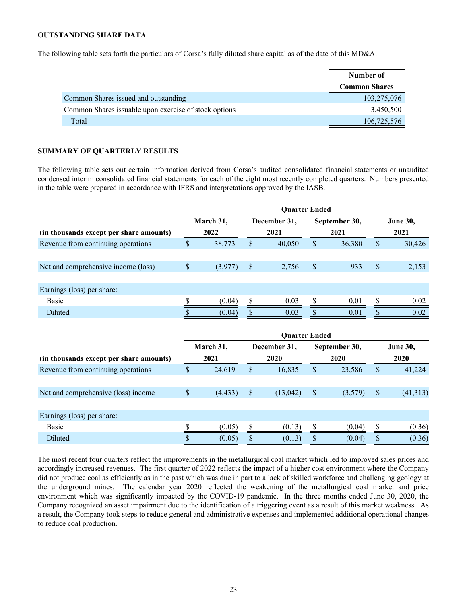#### <span id="page-22-0"></span>**OUTSTANDING SHARE DATA**

The following table sets forth the particulars of Corsa's fully diluted share capital as of the date of this MD&A.

|                                                        | Number of            |
|--------------------------------------------------------|----------------------|
|                                                        | <b>Common Shares</b> |
| Common Shares issued and outstanding                   | 103,275,076          |
| Common Shares is suable upon exercise of stock options | 3,450,500            |
| Total                                                  | 106,725,576          |

#### **SUMMARY OF QUARTERLY RESULTS**

The following table sets out certain information derived from Corsa's audited consolidated financial statements or unaudited condensed interim consolidated financial statements for each of the eight most recently completed quarters. Numbers presented in the table were prepared in accordance with IFRS and interpretations approved by the IASB.

|                                         | <b>Ouarter Ended</b> |           |    |              |               |               |    |                 |
|-----------------------------------------|----------------------|-----------|----|--------------|---------------|---------------|----|-----------------|
|                                         |                      | March 31, |    | December 31, |               | September 30, |    | <b>June 30,</b> |
| (in thousands except per share amounts) |                      | 2022      |    | 2021         |               | 2021          |    | 2021            |
| Revenue from continuing operations      | S                    | 38,773    | S  | 40,050       | <sup>\$</sup> | 36,380        | S  | 30,426          |
|                                         |                      |           |    |              |               |               |    |                 |
| Net and comprehensive income (loss)     | S                    | (3,977)   | \$ | 2,756        | S             | 933           | \$ | 2,153           |
|                                         |                      |           |    |              |               |               |    |                 |
| Earnings (loss) per share:              |                      |           |    |              |               |               |    |                 |
| Basic                                   |                      | (0.04)    |    | 0.03         |               | 0.01          |    | 0.02            |
| Diluted                                 |                      | (0.04)    |    | 0.03         |               | 0.01          |    | 0.02            |
|                                         |                      |           |    |              |               |               |    |                 |

| <b>Ouarter Ended</b> |          |              |          |    |         |                 |           |
|----------------------|----------|--------------|----------|----|---------|-----------------|-----------|
| March 31,            |          | December 31, |          |    |         | <b>June 30,</b> |           |
|                      | 2021     |              | 2020     |    | 2020    |                 | 2020      |
| \$                   | 24,619   | \$           | 16,835   | \$ | 23,586  | S               | 41,224    |
|                      |          |              |          |    |         |                 |           |
| \$                   | (4, 433) | S            | (13,042) | S  | (3,579) | S               | (41, 313) |
|                      |          |              |          |    |         |                 |           |
|                      |          |              |          |    |         |                 |           |
|                      | (0.05)   |              | (0.13)   |    | (0.04)  |                 | (0.36)    |
|                      | (0.05)   |              | (0.13)   |    | (0.04)  |                 | (0.36)    |
|                      |          |              |          |    |         | September 30,   |           |

The most recent four quarters reflect the improvements in the metallurgical coal market which led to improved sales prices and accordingly increased revenues. The first quarter of 2022 reflects the impact of a higher cost environment where the Company did not produce coal as efficiently as in the past which was due in part to a lack of skilled workforce and challenging geology at the underground mines. The calendar year 2020 reflected the weakening of the metallurgical coal market and price environment which was significantly impacted by the COVID-19 pandemic. In the three months ended June 30, 2020, the Company recognized an asset impairment due to the identification of a triggering event as a result of this market weakness. As a result, the Company took steps to reduce general and administrative expenses and implemented additional operational changes to reduce coal production.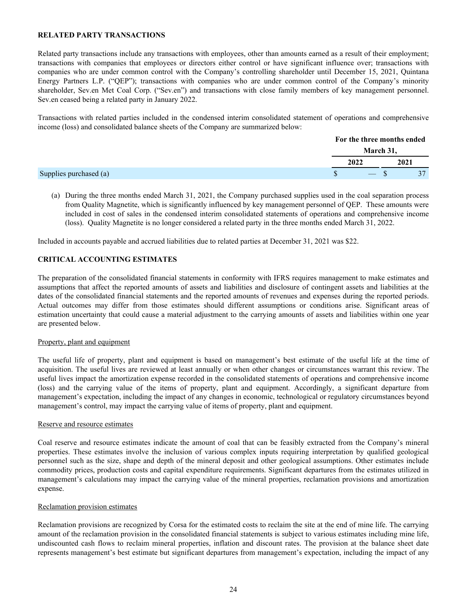## <span id="page-23-0"></span>**RELATED PARTY TRANSACTIONS**

Related party transactions include any transactions with employees, other than amounts earned as a result of their employment; transactions with companies that employees or directors either control or have significant influence over; transactions with companies who are under common control with the Company's controlling shareholder until December 15, 2021, Quintana Energy Partners L.P. ("QEP"); transactions with companies who are under common control of the Company's minority shareholder, Sev.en Met Coal Corp. ("Sev.en") and transactions with close family members of key management personnel. Sev.en ceased being a related party in January 2022.

Transactions with related parties included in the condensed interim consolidated statement of operations and comprehensive income (loss) and consolidated balance sheets of the Company are summarized below:

|                        | For the three months ended |  |      |  |
|------------------------|----------------------------|--|------|--|
|                        | March 31,                  |  |      |  |
|                        | 2022                       |  | 2021 |  |
| Supplies purchased (a) | $-$ \$                     |  |      |  |

(a) During the three months ended March 31, 2021, the Company purchased supplies used in the coal separation process from Quality Magnetite, which is significantly influenced by key management personnel of QEP. These amounts were included in cost of sales in the condensed interim consolidated statements of operations and comprehensive income (loss). Quality Magnetite is no longer considered a related party in the three months ended March 31, 2022.

Included in accounts payable and accrued liabilities due to related parties at December 31, 2021 was \$22.

## **CRITICAL ACCOUNTING ESTIMATES**

The preparation of the consolidated financial statements in conformity with IFRS requires management to make estimates and assumptions that affect the reported amounts of assets and liabilities and disclosure of contingent assets and liabilities at the dates of the consolidated financial statements and the reported amounts of revenues and expenses during the reported periods. Actual outcomes may differ from those estimates should different assumptions or conditions arise. Significant areas of estimation uncertainty that could cause a material adjustment to the carrying amounts of assets and liabilities within one year are presented below.

#### Property, plant and equipment

The useful life of property, plant and equipment is based on management's best estimate of the useful life at the time of acquisition. The useful lives are reviewed at least annually or when other changes or circumstances warrant this review. The useful lives impact the amortization expense recorded in the consolidated statements of operations and comprehensive income (loss) and the carrying value of the items of property, plant and equipment. Accordingly, a significant departure from management's expectation, including the impact of any changes in economic, technological or regulatory circumstances beyond management's control, may impact the carrying value of items of property, plant and equipment.

#### Reserve and resource estimates

Coal reserve and resource estimates indicate the amount of coal that can be feasibly extracted from the Company's mineral properties. These estimates involve the inclusion of various complex inputs requiring interpretation by qualified geological personnel such as the size, shape and depth of the mineral deposit and other geological assumptions. Other estimates include commodity prices, production costs and capital expenditure requirements. Significant departures from the estimates utilized in management's calculations may impact the carrying value of the mineral properties, reclamation provisions and amortization expense.

#### Reclamation provision estimates

Reclamation provisions are recognized by Corsa for the estimated costs to reclaim the site at the end of mine life. The carrying amount of the reclamation provision in the consolidated financial statements is subject to various estimates including mine life, undiscounted cash flows to reclaim mineral properties, inflation and discount rates. The provision at the balance sheet date represents management's best estimate but significant departures from management's expectation, including the impact of any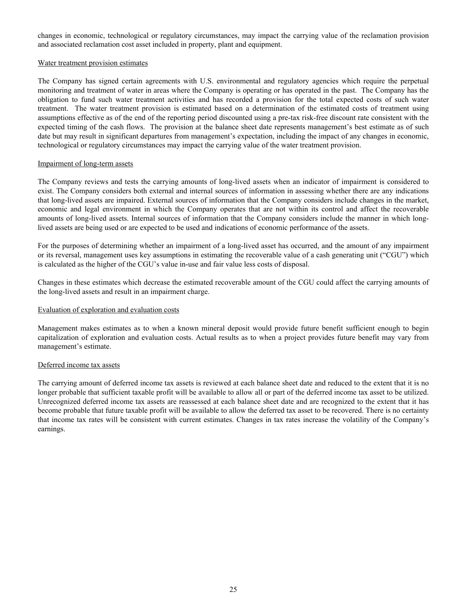changes in economic, technological or regulatory circumstances, may impact the carrying value of the reclamation provision and associated reclamation cost asset included in property, plant and equipment.

#### Water treatment provision estimates

The Company has signed certain agreements with U.S. environmental and regulatory agencies which require the perpetual monitoring and treatment of water in areas where the Company is operating or has operated in the past. The Company has the obligation to fund such water treatment activities and has recorded a provision for the total expected costs of such water treatment. The water treatment provision is estimated based on a determination of the estimated costs of treatment using assumptions effective as of the end of the reporting period discounted using a pre-tax risk-free discount rate consistent with the expected timing of the cash flows. The provision at the balance sheet date represents management's best estimate as of such date but may result in significant departures from management's expectation, including the impact of any changes in economic, technological or regulatory circumstances may impact the carrying value of the water treatment provision.

#### Impairment of long-term assets

The Company reviews and tests the carrying amounts of long-lived assets when an indicator of impairment is considered to exist. The Company considers both external and internal sources of information in assessing whether there are any indications that long-lived assets are impaired. External sources of information that the Company considers include changes in the market, economic and legal environment in which the Company operates that are not within its control and affect the recoverable amounts of long-lived assets. Internal sources of information that the Company considers include the manner in which longlived assets are being used or are expected to be used and indications of economic performance of the assets.

For the purposes of determining whether an impairment of a long-lived asset has occurred, and the amount of any impairment or its reversal, management uses key assumptions in estimating the recoverable value of a cash generating unit ("CGU") which is calculated as the higher of the CGU's value in-use and fair value less costs of disposal.

Changes in these estimates which decrease the estimated recoverable amount of the CGU could affect the carrying amounts of the long-lived assets and result in an impairment charge.

## Evaluation of exploration and evaluation costs

Management makes estimates as to when a known mineral deposit would provide future benefit sufficient enough to begin capitalization of exploration and evaluation costs. Actual results as to when a project provides future benefit may vary from management's estimate.

## Deferred income tax assets

The carrying amount of deferred income tax assets is reviewed at each balance sheet date and reduced to the extent that it is no longer probable that sufficient taxable profit will be available to allow all or part of the deferred income tax asset to be utilized. Unrecognized deferred income tax assets are reassessed at each balance sheet date and are recognized to the extent that it has become probable that future taxable profit will be available to allow the deferred tax asset to be recovered. There is no certainty that income tax rates will be consistent with current estimates. Changes in tax rates increase the volatility of the Company's earnings.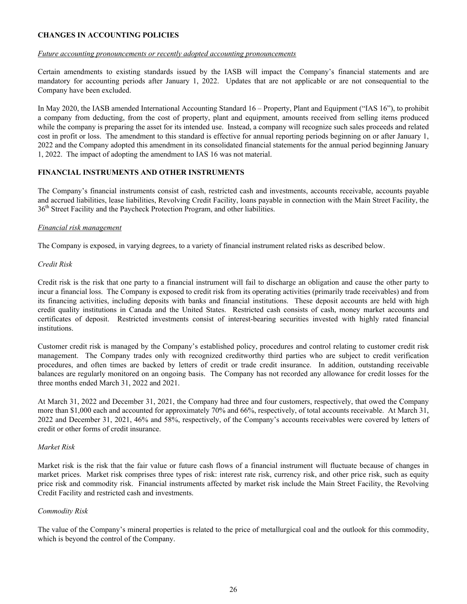## <span id="page-25-0"></span>**CHANGES IN ACCOUNTING POLICIES**

#### *Future accounting pronouncements or recently adopted accounting pronouncements*

Certain amendments to existing standards issued by the IASB will impact the Company's financial statements and are mandatory for accounting periods after January 1, 2022. Updates that are not applicable or are not consequential to the Company have been excluded.

In May 2020, the IASB amended International Accounting Standard 16 – Property, Plant and Equipment ("IAS 16"), to prohibit a company from deducting, from the cost of property, plant and equipment, amounts received from selling items produced while the company is preparing the asset for its intended use. Instead, a company will recognize such sales proceeds and related cost in profit or loss. The amendment to this standard is effective for annual reporting periods beginning on or after January 1, 2022 and the Company adopted this amendment in its consolidated financial statements for the annual period beginning January 1, 2022. The impact of adopting the amendment to IAS 16 was not material.

## **FINANCIAL INSTRUMENTS AND OTHER INSTRUMENTS**

The Company's financial instruments consist of cash, restricted cash and investments, accounts receivable, accounts payable and accrued liabilities, lease liabilities, Revolving Credit Facility, loans payable in connection with the Main Street Facility, the 36<sup>th</sup> Street Facility and the Paycheck Protection Program, and other liabilities.

## *Financial risk management*

The Company is exposed, in varying degrees, to a variety of financial instrument related risks as described below.

## *Credit Risk*

Credit risk is the risk that one party to a financial instrument will fail to discharge an obligation and cause the other party to incur a financial loss. The Company is exposed to credit risk from its operating activities (primarily trade receivables) and from its financing activities, including deposits with banks and financial institutions. These deposit accounts are held with high credit quality institutions in Canada and the United States. Restricted cash consists of cash, money market accounts and certificates of deposit. Restricted investments consist of interest-bearing securities invested with highly rated financial institutions.

Customer credit risk is managed by the Company's established policy, procedures and control relating to customer credit risk management. The Company trades only with recognized creditworthy third parties who are subject to credit verification procedures, and often times are backed by letters of credit or trade credit insurance. In addition, outstanding receivable balances are regularly monitored on an ongoing basis. The Company has not recorded any allowance for credit losses for the three months ended March 31, 2022 and 2021.

At March 31, 2022 and December 31, 2021, the Company had three and four customers, respectively, that owed the Company more than \$1,000 each and accounted for approximately 70% and 66%, respectively, of total accounts receivable. At March 31, 2022 and December 31, 2021, 46% and 58%, respectively, of the Company's accounts receivables were covered by letters of credit or other forms of credit insurance.

## *Market Risk*

Market risk is the risk that the fair value or future cash flows of a financial instrument will fluctuate because of changes in market prices. Market risk comprises three types of risk: interest rate risk, currency risk, and other price risk, such as equity price risk and commodity risk. Financial instruments affected by market risk include the Main Street Facility, the Revolving Credit Facility and restricted cash and investments.

## *Commodity Risk*

The value of the Company's mineral properties is related to the price of metallurgical coal and the outlook for this commodity, which is beyond the control of the Company.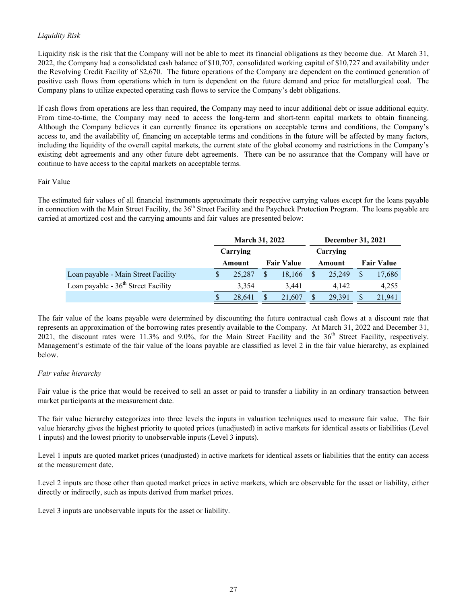## *Liquidity Risk*

Liquidity risk is the risk that the Company will not be able to meet its financial obligations as they become due. At March 31, 2022, the Company had a consolidated cash balance of \$10,707, consolidated working capital of \$10,727 and availability under the Revolving Credit Facility of \$2,670. The future operations of the Company are dependent on the continued generation of positive cash flows from operations which in turn is dependent on the future demand and price for metallurgical coal. The Company plans to utilize expected operating cash flows to service the Company's debt obligations.

If cash flows from operations are less than required, the Company may need to incur additional debt or issue additional equity. From time-to-time, the Company may need to access the long-term and short-term capital markets to obtain financing. Although the Company believes it can currently finance its operations on acceptable terms and conditions, the Company's access to, and the availability of, financing on acceptable terms and conditions in the future will be affected by many factors, including the liquidity of the overall capital markets, the current state of the global economy and restrictions in the Company's existing debt agreements and any other future debt agreements. There can be no assurance that the Company will have or continue to have access to the capital markets on acceptable terms.

## Fair Value

The estimated fair values of all financial instruments approximate their respective carrying values except for the loans payable in connection with the Main Street Facility, the 36<sup>th</sup> Street Facility and the Paycheck Protection Program. The loans payable are carried at amortized cost and the carrying amounts and fair values are presented below:

|                                       | <b>March 31, 2022</b> |          |                   | <b>December 31, 2021</b> |        |          |                   |        |
|---------------------------------------|-----------------------|----------|-------------------|--------------------------|--------|----------|-------------------|--------|
|                                       |                       | Carrying |                   |                          |        | Carrying |                   |        |
|                                       | Amount                |          | <b>Fair Value</b> |                          | Amount |          | <b>Fair Value</b> |        |
| Loan payable - Main Street Facility   | S                     | 25,287   | S                 | 18.166                   |        | 25.249   |                   | 17,686 |
| Loan payable - $36th$ Street Facility |                       | 3,354    |                   | 3.441                    |        | 4.142    |                   | 4,255  |
|                                       |                       | 28,641   | \$                | 21,607                   |        | 29.391   |                   | 21,941 |

The fair value of the loans payable were determined by discounting the future contractual cash flows at a discount rate that represents an approximation of the borrowing rates presently available to the Company. At March 31, 2022 and December 31, 2021, the discount rates were 11.3% and 9.0%, for the Main Street Facility and the  $36<sup>th</sup>$  Street Facility, respectively. Management's estimate of the fair value of the loans payable are classified as level 2 in the fair value hierarchy, as explained below.

## *Fair value hierarchy*

Fair value is the price that would be received to sell an asset or paid to transfer a liability in an ordinary transaction between market participants at the measurement date.

The fair value hierarchy categorizes into three levels the inputs in valuation techniques used to measure fair value. The fair value hierarchy gives the highest priority to quoted prices (unadjusted) in active markets for identical assets or liabilities (Level 1 inputs) and the lowest priority to unobservable inputs (Level 3 inputs).

Level 1 inputs are quoted market prices (unadjusted) in active markets for identical assets or liabilities that the entity can access at the measurement date.

Level 2 inputs are those other than quoted market prices in active markets, which are observable for the asset or liability, either directly or indirectly, such as inputs derived from market prices.

Level 3 inputs are unobservable inputs for the asset or liability.